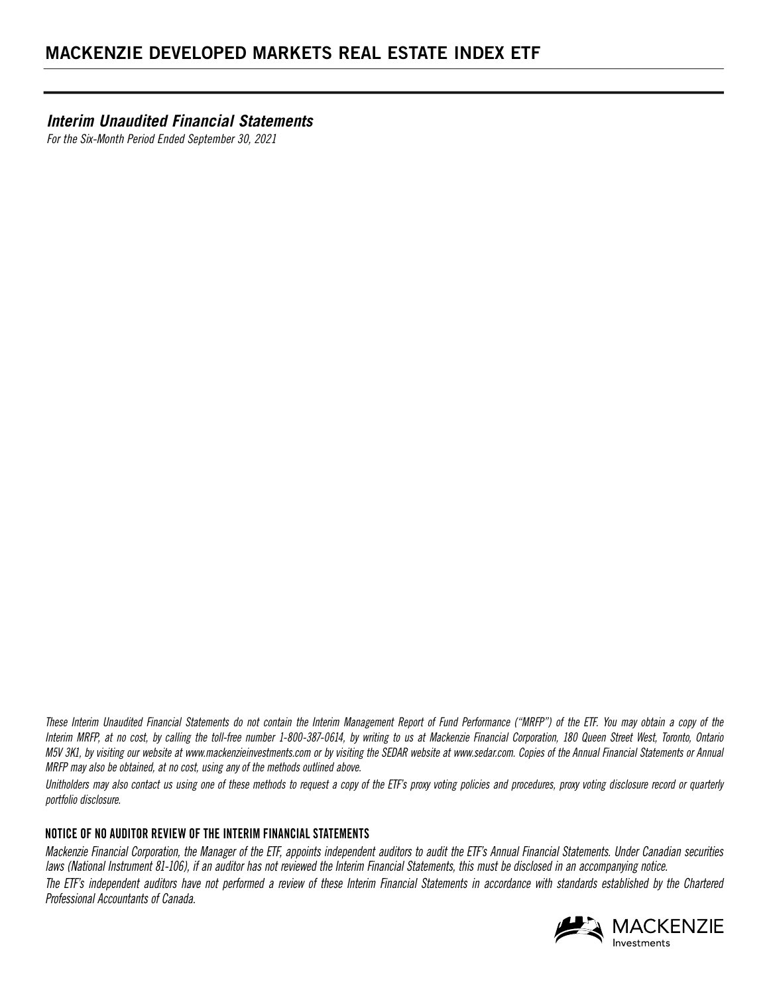*Interim Unaudited Financial Statements*

*For the Six-Month Period Ended September 30, 2021*

*These Interim Unaudited Financial Statements do not contain the Interim Management Report of Fund Performance ("MRFP") of the ETF. You may obtain a copy of the Interim MRFP, at no cost, by calling the toll-free number 1-800-387-0614, by writing to us at Mackenzie Financial Corporation, 180 Queen Street West, Toronto, Ontario M5V 3K1, by visiting our website at www.mackenzieinvestments.com or by visiting the SEDAR website at www.sedar.com. Copies of the Annual Financial Statements or Annual MRFP may also be obtained, at no cost, using any of the methods outlined above.* 

*Unitholders may also contact us using one of these methods to request a copy of the ETF's proxy voting policies and procedures, proxy voting disclosure record or quarterly portfolio disclosure.*

### **NOTICE OF NO AUDITOR REVIEW OF THE INTERIM FINANCIAL STATEMENTS**

*Mackenzie Financial Corporation, the Manager of the ETF, appoints independent auditors to audit the ETF's Annual Financial Statements. Under Canadian securities laws (National Instrument 81-106), if an auditor has not reviewed the Interim Financial Statements, this must be disclosed in an accompanying notice.* The ETF's independent auditors have not performed a review of these Interim Financial Statements in accordance with standards established by the Chartered *Professional Accountants of Canada.*

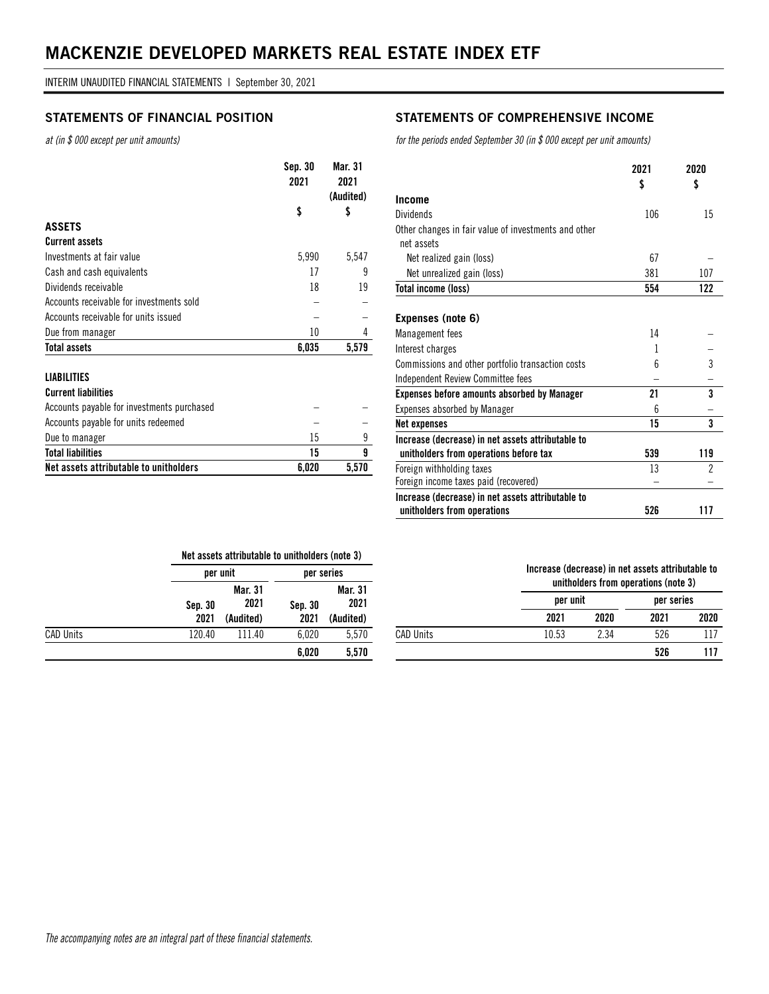*at (in \$ 000 except per unit amounts)*

|                                          | Sep. 30<br>2021 | Mar. 31<br>2021<br>(Audited) |
|------------------------------------------|-----------------|------------------------------|
|                                          | \$              | \$                           |
| <b>ASSETS</b>                            |                 |                              |
| <b>Current assets</b>                    |                 |                              |
| Investments at fair value                | 5,990           | 5,547                        |
| Cash and cash equivalents                | 17              | 9                            |
| Dividends receivable                     | 18              | 19                           |
| Accounts receivable for investments sold |                 |                              |
| Accounts receivable for units issued     |                 |                              |
| Due from manager                         | 10              | 4                            |
| <b>Total assets</b>                      | 6.035           | 5.579                        |

#### **LIABILITIES Current liabilities**

| Net assets attributable to unitholders     | 6.020 | 5.570 |
|--------------------------------------------|-------|-------|
| <b>Total liabilities</b>                   | 15    |       |
| Due to manager                             | 15    |       |
| Accounts payable for units redeemed        |       |       |
| Accounts payable for investments purchased |       |       |
| <b>GUITENT NADITIONS</b>                   |       |       |

CAD Units 120.40 111.40 6,020 5,570

### **STATEMENTS OF FINANCIAL POSITION STATEMENTS OF COMPREHENSIVE INCOME**

*for the periods ended September 30 (in \$ 000 except per unit amounts)*

|                                                      | 2021<br>\$ | 2020<br>\$ |
|------------------------------------------------------|------------|------------|
| Income                                               |            |            |
| <b>Dividends</b>                                     | 106        | 15         |
| Other changes in fair value of investments and other |            |            |
| net assets                                           |            |            |
| Net realized gain (loss)                             | 67         |            |
| Net unrealized gain (loss)                           | 381        | 107        |
| Total income (loss)                                  | 554        | 122        |
|                                                      |            |            |
| Expenses (note 6)                                    |            |            |
| Management fees                                      | 14         |            |
| Interest charges                                     | 1          |            |
| Commissions and other portfolio transaction costs    | 6          | 3          |
| Independent Review Committee fees                    |            |            |
| <b>Expenses before amounts absorbed by Manager</b>   | 21         | 3          |
| Expenses absorbed by Manager                         | ĥ          |            |
| <b>Net expenses</b>                                  | 15         | 3          |
| Increase (decrease) in net assets attributable to    |            |            |
| unitholders from operations before tax               | 539        | 119        |
| Foreign withholding taxes                            | 13         | 2          |
| Foreign income taxes paid (recovered)                |            |            |
| Increase (decrease) in net assets attributable to    |            |            |
| unitholders from operations                          | 526        | 117        |

|         | Net assets attributable to unitholders (note 3) |         |            |
|---------|-------------------------------------------------|---------|------------|
|         | per unit                                        |         | per series |
|         | Mar. 31                                         |         | Mar. 31    |
| Sep. 30 | 2021                                            | Sep. 30 | 2021       |
| 2021    | (Audited)                                       | 2021    | (Audited)  |

 **6,020 5,570** 

#### **Increase (decrease) in net assets attributable to unitholders from operations (note 3)**

|           |       | annulolaoro ironi oporationo (noto o) |      |            |
|-----------|-------|---------------------------------------|------|------------|
|           |       | per unit                              |      | per series |
|           | 2021  | 2020                                  | 2021 | 2020       |
| CAD Units | 10.53 | 2.34                                  | 526  |            |
|           |       |                                       | 526  | 117        |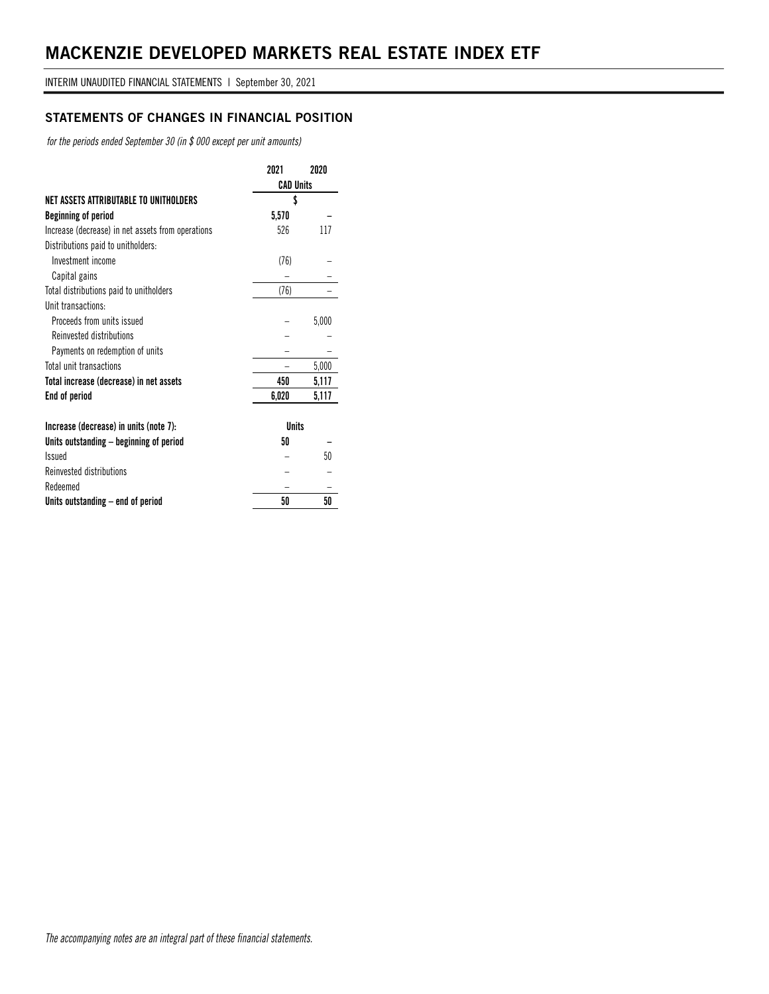### **STATEMENTS OF CHANGES IN FINANCIAL POSITION**

*for the periods ended September 30 (in \$ 000 except per unit amounts)*

|                                                   | 2021             | 2020  |
|---------------------------------------------------|------------------|-------|
|                                                   | <b>CAD Units</b> |       |
| NET ASSETS ATTRIBUTABLE TO UNITHOLDERS            | \$               |       |
| Beginning of period                               | 5,570            |       |
| Increase (decrease) in net assets from operations | 526              | 117   |
| Distributions paid to unitholders:                |                  |       |
| Investment income                                 | (76)             |       |
| Capital gains                                     |                  |       |
| Total distributions paid to unitholders           | (76)             |       |
| Unit transactions:                                |                  |       |
| Proceeds from units issued                        |                  | 5,000 |
| Reinvested distributions                          |                  |       |
| Payments on redemption of units                   |                  |       |
| Total unit transactions                           |                  | 5,000 |
| Total increase (decrease) in net assets           | 450              | 5,117 |
| End of period                                     | 6,020            | 5,117 |
| Increase (decrease) in units (note 7):            | <b>Units</b>     |       |
| Units outstanding – beginning of period           | 50               |       |
| <b>Issued</b>                                     |                  | 50    |
| <b>Reinvested distributions</b>                   |                  |       |
| Redeemed                                          |                  |       |
| Units outstanding – end of period                 | 50               | 50    |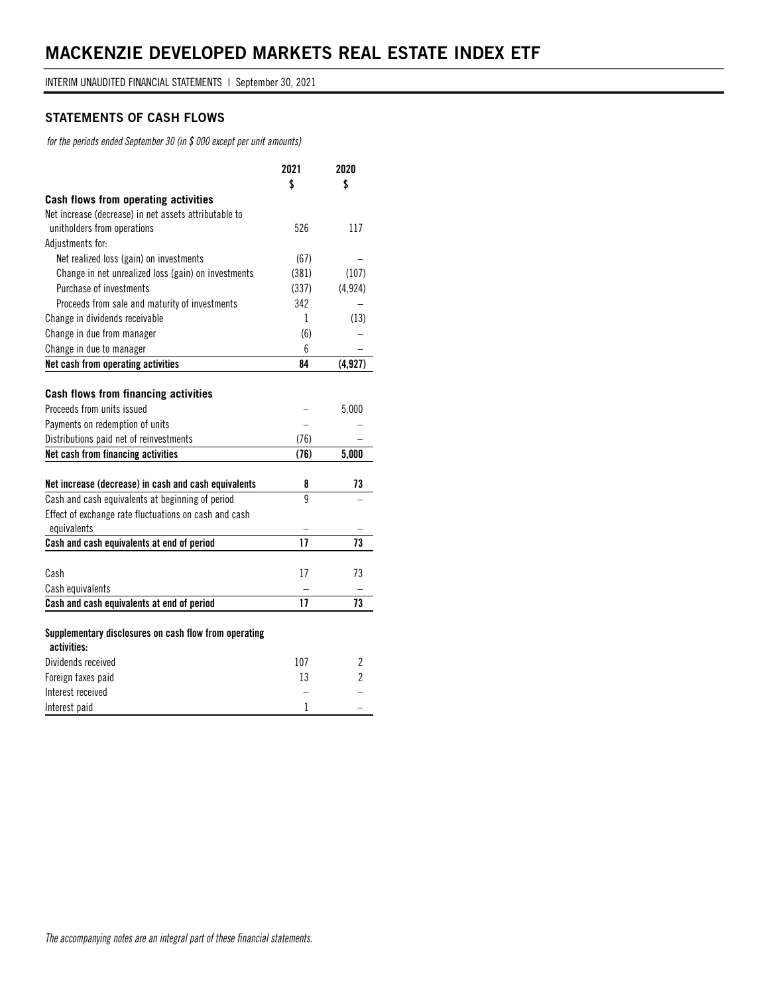### **STATEMENTS OF CASH FLOWS**

*for the periods ended September 30 (in \$ 000 except per unit amounts)*

|                                                                      | 2021  | 2020           |
|----------------------------------------------------------------------|-------|----------------|
|                                                                      | \$    | \$             |
| Cash flows from operating activities                                 |       |                |
| Net increase (decrease) in net assets attributable to                |       |                |
| unitholders from operations                                          | 526   | 117            |
| Adjustments for:                                                     |       |                |
| Net realized loss (gain) on investments                              | (67)  |                |
| Change in net unrealized loss (gain) on investments                  | (381) | (107)          |
| Purchase of investments                                              | (337) | (4, 924)       |
| Proceeds from sale and maturity of investments                       | 342   |                |
| Change in dividends receivable                                       | 1     | (13)           |
| Change in due from manager                                           | (6)   |                |
| Change in due to manager                                             | 6     |                |
| Net cash from operating activities                                   | 84    | (4, 927)       |
|                                                                      |       |                |
| Cash flows from financing activities                                 |       |                |
| Proceeds from units issued                                           |       | 5,000          |
| Payments on redemption of units                                      |       |                |
| Distributions paid net of reinvestments                              | (76)  |                |
| Net cash from financing activities                                   | (76)  | 5,000          |
|                                                                      |       |                |
| Net increase (decrease) in cash and cash equivalents                 | 8     | 73             |
| Cash and cash equivalents at beginning of period                     | 9     |                |
| Effect of exchange rate fluctuations on cash and cash                |       |                |
| equivalents                                                          |       |                |
| Cash and cash equivalents at end of period                           | 17    | 73             |
|                                                                      |       |                |
| Cash                                                                 | 17    | 73             |
| Cash equivalents                                                     |       |                |
| Cash and cash equivalents at end of period                           | 17    | 73             |
|                                                                      |       |                |
| Supplementary disclosures on cash flow from operating<br>activities: |       |                |
| Dividends received                                                   | 107   | $\overline{c}$ |
| Foreign taxes paid                                                   | 13    | 2              |
| Interest received                                                    |       |                |
| Interest paid                                                        | 1     |                |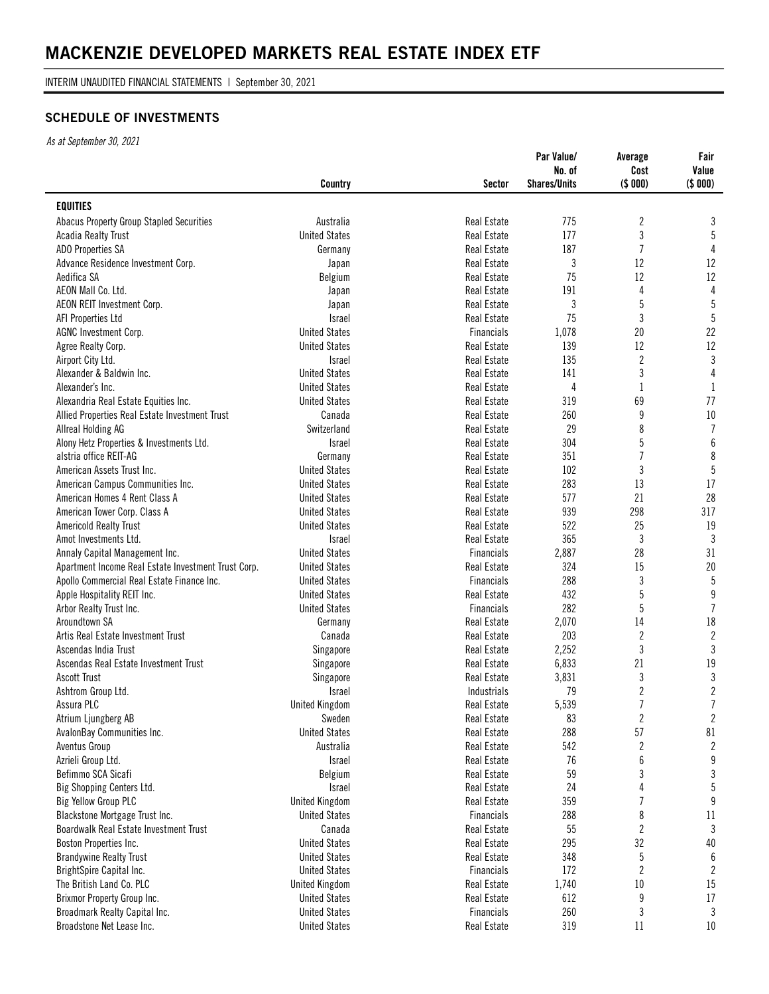INTERIM UNAUDITED FINANCIAL STATEMENTS | September 30, 2021

### **SCHEDULE OF INVESTMENTS**

|                                                     | Country               | <b>Sector</b>      | Par Value/<br>No. of<br><b>Shares/Units</b> | Average<br>Cost<br>(\$000) | Fair<br>Value<br>(\$000) |
|-----------------------------------------------------|-----------------------|--------------------|---------------------------------------------|----------------------------|--------------------------|
| <b>EQUITIES</b>                                     |                       |                    |                                             |                            |                          |
| Abacus Property Group Stapled Securities            | Australia             | Real Estate        | 775                                         | $\overline{c}$             | 3                        |
| <b>Acadia Realty Trust</b>                          | <b>United States</b>  | <b>Real Estate</b> | 177                                         | 3                          | 5                        |
| ADO Properties SA                                   | Germany               | Real Estate        | 187                                         | $\overline{1}$             | 4                        |
| Advance Residence Investment Corp.                  | Japan                 | Real Estate        | 3                                           | 12                         | 12                       |
| Aedifica SA                                         | Belgium               | <b>Real Estate</b> | 75                                          | 12                         | 12                       |
| AEON Mall Co. Ltd.                                  | Japan                 | <b>Real Estate</b> | 191                                         | 4                          | 4                        |
| AEON REIT Investment Corp.                          | Japan                 | Real Estate        | 3                                           | 5                          | $\overline{5}$           |
| AFI Properties Ltd                                  | <b>Israel</b>         | <b>Real Estate</b> | 75                                          | 3                          | $5\phantom{.0}$          |
| AGNC Investment Corp.                               | <b>United States</b>  | <b>Financials</b>  | 1,078                                       | 20                         | 22                       |
| Agree Realty Corp.                                  | <b>United States</b>  | <b>Real Estate</b> | 139                                         | 12                         | 12                       |
| Airport City Ltd.                                   | <b>Israel</b>         | <b>Real Estate</b> | 135                                         | $\overline{2}$             | 3                        |
| Alexander & Baldwin Inc.                            | <b>United States</b>  | <b>Real Estate</b> | 141                                         | 3                          | $\overline{4}$           |
| Alexander's Inc.                                    | <b>United States</b>  | Real Estate        | $\overline{4}$                              | 1                          | $\mathbf{1}$             |
| Alexandria Real Estate Equities Inc.                | <b>United States</b>  | <b>Real Estate</b> | 319                                         | 69                         | 77                       |
| Allied Properties Real Estate Investment Trust      | Canada                | Real Estate        | 260                                         | 9                          | 10                       |
| Allreal Holding AG                                  | Switzerland           | <b>Real Estate</b> | 29                                          | 8                          | $\overline{1}$           |
| Alony Hetz Properties & Investments Ltd.            | <b>Israel</b>         | <b>Real Estate</b> | 304                                         | 5                          | $\boldsymbol{6}$         |
| alstria office REIT-AG                              | Germany               | <b>Real Estate</b> | 351                                         | $\overline{7}$             | 8                        |
| American Assets Trust Inc.                          | <b>United States</b>  | Real Estate        | 102                                         | 3                          | $\overline{5}$           |
| American Campus Communities Inc.                    | <b>United States</b>  | <b>Real Estate</b> | 283                                         | 13                         | 17                       |
| American Homes 4 Rent Class A                       | <b>United States</b>  | Real Estate        | 577                                         | 21                         | 28                       |
| American Tower Corp. Class A                        | <b>United States</b>  | <b>Real Estate</b> | 939                                         | 298                        | 317                      |
| <b>Americold Realty Trust</b>                       | <b>United States</b>  | <b>Real Estate</b> | 522                                         | 25                         | 19                       |
| Amot Investments Ltd.                               | <b>Israel</b>         | <b>Real Estate</b> | 365                                         | 3                          | $\mathbf{3}$             |
| Annaly Capital Management Inc.                      | <b>United States</b>  | Financials         | 2,887                                       | 28                         | 31                       |
| Apartment Income Real Estate Investment Trust Corp. | <b>United States</b>  | <b>Real Estate</b> | 324                                         | 15                         | 20                       |
| Apollo Commercial Real Estate Finance Inc.          | <b>United States</b>  | <b>Financials</b>  | 288                                         | 3                          | 5                        |
| Apple Hospitality REIT Inc.                         | <b>United States</b>  | <b>Real Estate</b> | 432                                         | 5                          | $\boldsymbol{9}$         |
| Arbor Realty Trust Inc.                             | <b>United States</b>  | <b>Financials</b>  | 282                                         | 5                          | $\overline{1}$           |
| Aroundtown SA                                       | Germany               | <b>Real Estate</b> | 2,070                                       | 14                         | 18                       |
| Artis Real Estate Investment Trust                  | Canada                | Real Estate        | 203                                         | 2                          | $\overline{2}$           |
| Ascendas India Trust                                | Singapore             | <b>Real Estate</b> | 2,252                                       | 3                          | 3                        |
| Ascendas Real Estate Investment Trust               | Singapore             | Real Estate        | 6,833                                       | 21                         | 19                       |
| <b>Ascott Trust</b>                                 | Singapore             | Real Estate        | 3,831                                       | 3                          | $\sqrt{3}$               |
| Ashtrom Group Ltd.                                  | <b>Israel</b>         | Industrials        | 79                                          | 2                          | $\sqrt{2}$               |
| Assura PLC                                          | <b>United Kingdom</b> | Real Estate        | 5,539                                       | 7                          | $\overline{7}$           |
| Atrium Ljungberg AB                                 | Sweden                | Real Estate        | 83                                          | $\boldsymbol{2}$           | $\mathbf{2}$             |
| AvalonBay Communities Inc.                          | <b>United States</b>  | <b>Real Estate</b> | 288                                         | 57                         | 81                       |
| Aventus Group                                       | Australia             | Real Estate        | 542                                         | $\boldsymbol{2}$           | $\overline{2}$           |
| Azrieli Group Ltd.                                  | Israel                | <b>Real Estate</b> | 76                                          | $\boldsymbol{6}$           | $\boldsymbol{9}$         |
| Befimmo SCA Sicafi                                  | Belgium               | <b>Real Estate</b> | 59                                          | 3                          | $\sqrt{3}$               |
| Big Shopping Centers Ltd.                           | Israel                | Real Estate        | 24                                          | 4                          | $5\,$                    |
| Big Yellow Group PLC                                | <b>United Kingdom</b> | Real Estate        | 359                                         | 7                          | 9                        |
| Blackstone Mortgage Trust Inc.                      | <b>United States</b>  | Financials         | 288                                         | 8                          | 11                       |
| Boardwalk Real Estate Investment Trust              | Canada                | Real Estate        | 55                                          | $\overline{\mathbf{c}}$    | 3                        |
| Boston Properties Inc.                              | <b>United States</b>  | Real Estate        | 295                                         | 32                         | 40                       |
| <b>Brandywine Realty Trust</b>                      | <b>United States</b>  | <b>Real Estate</b> | 348                                         | 5                          | $\boldsymbol{6}$         |
| BrightSpire Capital Inc.                            | <b>United States</b>  | <b>Financials</b>  | 172                                         | 2                          | 2                        |
| The British Land Co. PLC                            | <b>United Kingdom</b> | Real Estate        | 1,740                                       | $10\,$                     | 15                       |
| Brixmor Property Group Inc.                         | <b>United States</b>  | Real Estate        | 612                                         | 9                          | 17                       |
| Broadmark Realty Capital Inc.                       | <b>United States</b>  | Financials         | 260                                         | 3                          | 3                        |
| Broadstone Net Lease Inc.                           | <b>United States</b>  | Real Estate        | 319                                         | 11                         | $10\,$                   |
|                                                     |                       |                    |                                             |                            |                          |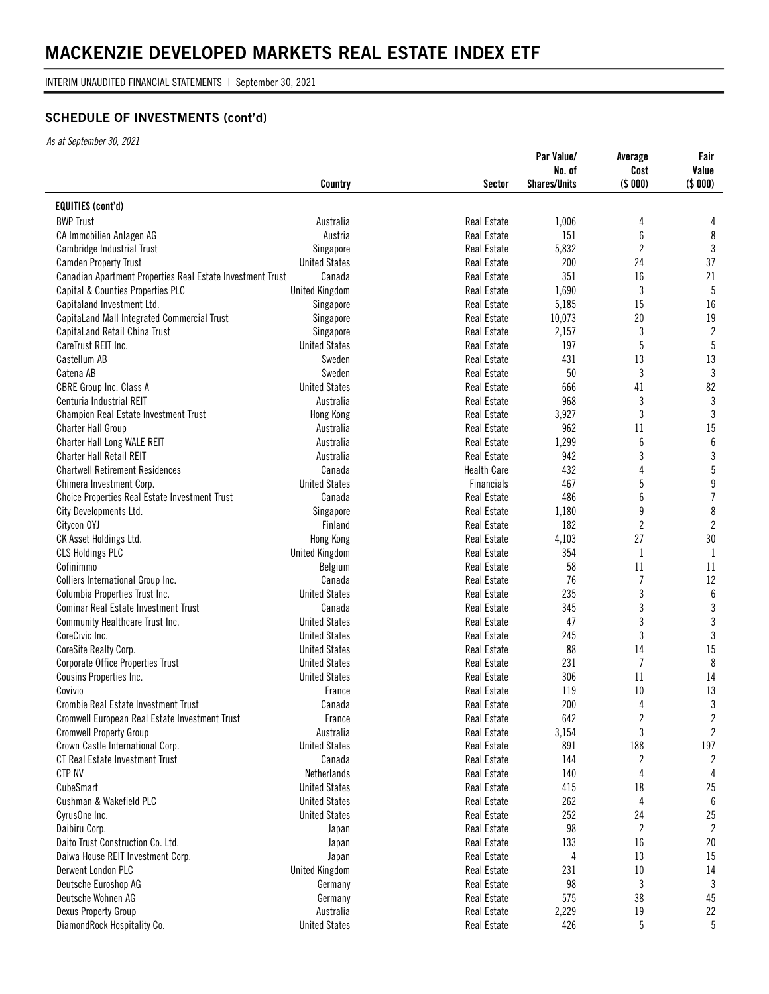INTERIM UNAUDITED FINANCIAL STATEMENTS | September 30, 2021

# **SCHEDULE OF INVESTMENTS (cont'd)**

|                                                            | Country               | <b>Sector</b>      | Par Value/<br>No. of<br><b>Shares/Units</b> | Average<br>Cost<br>(\$000) | Fair<br>Value<br>(\$ 000) |
|------------------------------------------------------------|-----------------------|--------------------|---------------------------------------------|----------------------------|---------------------------|
| <b>EQUITIES (cont'd)</b>                                   |                       |                    |                                             |                            |                           |
| <b>BWP Trust</b>                                           | Australia             | Real Estate        | 1,006                                       | 4                          | 4                         |
| CA Immobilien Anlagen AG                                   | Austria               | Real Estate        | 151                                         | 6                          | $\,8\,$                   |
| Cambridge Industrial Trust                                 | Singapore             | Real Estate        | 5,832                                       | 2                          | 3                         |
| <b>Camden Property Trust</b>                               | <b>United States</b>  | <b>Real Estate</b> | 200                                         | 24                         | 37                        |
| Canadian Apartment Properties Real Estate Investment Trust | Canada                | Real Estate        | 351                                         | 16                         | 21                        |
| Capital & Counties Properties PLC                          | <b>United Kingdom</b> | Real Estate        | 1,690                                       | 3                          | 5                         |
| Capitaland Investment Ltd.                                 | Singapore             | Real Estate        | 5,185                                       | 15                         | 16                        |
| CapitaLand Mall Integrated Commercial Trust                | Singapore             | Real Estate        | 10,073                                      | 20                         | 19                        |
| CapitaLand Retail China Trust                              | Singapore             | Real Estate        | 2,157                                       | 3                          | $\mathbf{2}$              |
| CareTrust REIT Inc.                                        | <b>United States</b>  | <b>Real Estate</b> | 197                                         |                            | 5                         |
| Castellum AB                                               | Sweden                | Real Estate        | 431                                         | 13                         | 13                        |
| Catena AB                                                  | Sweden                | Real Estate        | 50                                          | 3                          | $\mathfrak{Z}$            |
| CBRE Group Inc. Class A                                    | <b>United States</b>  | Real Estate        | 666                                         | 41                         | 82                        |
| Centuria Industrial REIT                                   | Australia             | Real Estate        | 968                                         | 3                          | $\mathfrak{Z}$            |
| Champion Real Estate Investment Trust                      | Hong Kong             | Real Estate        | 3,927                                       | 3                          | $\mathbf{3}$              |
| <b>Charter Hall Group</b>                                  | Australia             | <b>Real Estate</b> | 962                                         | 11                         | 15                        |
| Charter Hall Long WALE REIT                                | Australia             | <b>Real Estate</b> | 1,299                                       | 6                          | $6\,$                     |
| <b>Charter Hall Retail REIT</b>                            | Australia             | <b>Real Estate</b> | 942                                         | 3                          | $\mathfrak{Z}$            |
| <b>Chartwell Retirement Residences</b>                     | Canada                | <b>Health Care</b> | 432                                         | 4                          | $5\,$                     |
| Chimera Investment Corp.                                   | <b>United States</b>  | Financials         | 467                                         | $\overline{5}$             | $\boldsymbol{9}$          |
| Choice Properties Real Estate Investment Trust             | Canada                | Real Estate        | 486                                         | 6                          | $\overline{7}$            |
| City Developments Ltd.                                     | Singapore             | <b>Real Estate</b> | 1,180                                       | 9                          | $\,8\,$                   |
| Citycon OYJ                                                | Finland               | Real Estate        | 182                                         | $\overline{2}$             | $\mathbf{2}$              |
| CK Asset Holdings Ltd.                                     | Hong Kong             | Real Estate        | 4,103                                       | 27                         | $30\,$                    |
| <b>CLS Holdings PLC</b>                                    | <b>United Kingdom</b> | Real Estate        | 354                                         | $\mathbf{1}$               | $\mathbf{1}$              |
| Cofinimmo                                                  | Belgium               | Real Estate        | 58                                          | 11                         | 11                        |
| Colliers International Group Inc.                          | Canada                | Real Estate        | 76                                          | $\overline{1}$             | 12                        |
| Columbia Properties Trust Inc.                             | <b>United States</b>  | <b>Real Estate</b> | 235                                         | 3                          | $\boldsymbol{6}$          |
| Cominar Real Estate Investment Trust                       | Canada                | Real Estate        | 345                                         | 3                          | $\sqrt{3}$                |
| Community Healthcare Trust Inc.                            | <b>United States</b>  | <b>Real Estate</b> | 47                                          | 3                          | $\mathfrak{Z}$            |
| CoreCivic Inc.                                             | <b>United States</b>  | Real Estate        | 245                                         | 3                          | $\mathfrak{Z}$            |
| CoreSite Realty Corp.                                      | <b>United States</b>  | <b>Real Estate</b> | 88                                          | 14                         | 15                        |
| Corporate Office Properties Trust                          | <b>United States</b>  | Real Estate        | 231                                         | $\overline{7}$             | 8                         |
| Cousins Properties Inc.                                    | <b>United States</b>  | Real Estate        | 306                                         | 11                         | 14                        |
| Covivio                                                    | France                | Real Estate        | 119                                         | 10                         | 13                        |
| Crombie Real Estate Investment Trust                       | Canada                | Real Estate        | 200                                         | 4                          | 3                         |
| Cromwell European Real Estate Investment Trust             | France                | Real Estate        | 642                                         | $\boldsymbol{2}$           | $\overline{2}$            |
| <b>Cromwell Property Group</b>                             | Australia             | Real Estate        | 3,154                                       | 3                          | $\mathbf{2}$              |
| Crown Castle International Corp.                           | <b>United States</b>  | <b>Real Estate</b> | 891                                         | 188                        | 197                       |
| CT Real Estate Investment Trust                            | Canada                | <b>Real Estate</b> | 144                                         | $\boldsymbol{2}$           | $\overline{2}$            |
| <b>CTP NV</b>                                              | Netherlands           | Real Estate        | 140                                         | 4                          | 4                         |
| CubeSmart                                                  | <b>United States</b>  | <b>Real Estate</b> | 415                                         | 18                         | 25                        |
| Cushman & Wakefield PLC                                    | <b>United States</b>  | Real Estate        | 262                                         | 4                          | $6\phantom{1}6$           |
| CyrusOne Inc.                                              | <b>United States</b>  | Real Estate        | 252                                         | 24                         | 25                        |
| Daibiru Corp.                                              | Japan                 | Real Estate        | 98                                          | $\boldsymbol{2}$           | $\overline{2}$            |
| Daito Trust Construction Co. Ltd.                          | Japan                 | <b>Real Estate</b> | 133                                         | 16                         | $20\,$                    |
| Daiwa House REIT Investment Corp.                          | Japan                 | Real Estate        | 4                                           | 13                         | 15                        |
| Derwent London PLC                                         | <b>United Kingdom</b> | <b>Real Estate</b> | 231                                         | $10\,$                     | 14                        |
| Deutsche Euroshop AG                                       | Germany               | <b>Real Estate</b> | 98                                          | $\mathfrak{z}$             | 3                         |
| Deutsche Wohnen AG                                         | Germany               | <b>Real Estate</b> | 575                                         | 38                         | 45                        |
| <b>Dexus Property Group</b>                                | Australia             | <b>Real Estate</b> | 2,229                                       | 19                         | 22                        |
| DiamondRock Hospitality Co.                                | <b>United States</b>  | Real Estate        | 426                                         | 5                          | 5                         |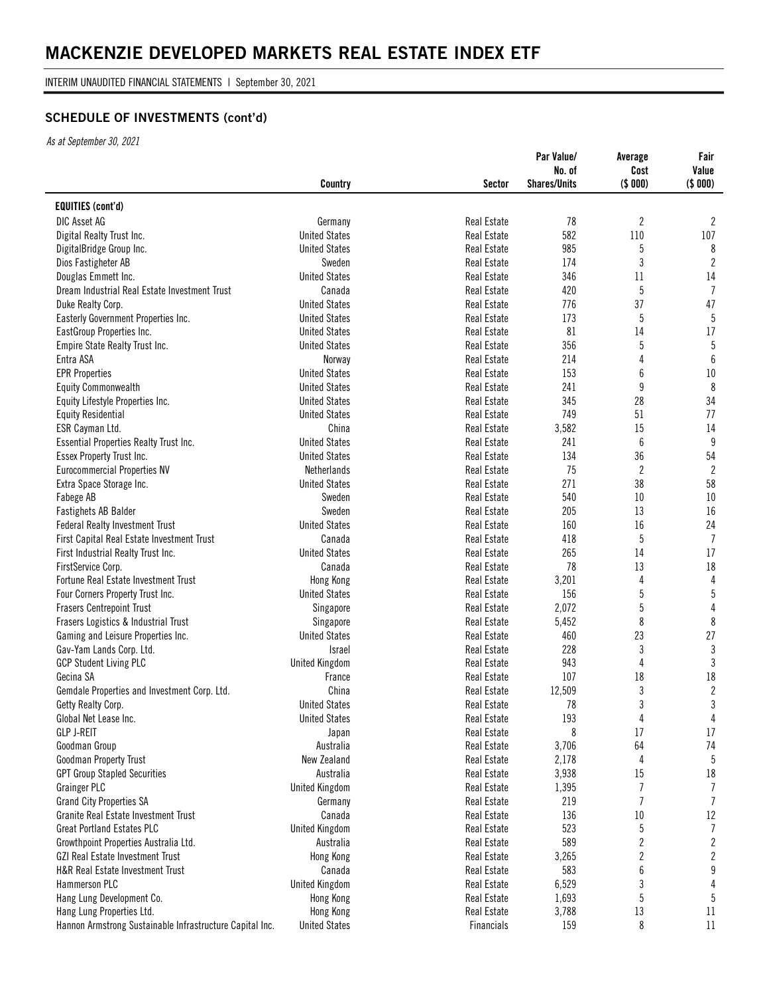INTERIM UNAUDITED FINANCIAL STATEMENTS | September 30, 2021

# **SCHEDULE OF INVESTMENTS (cont'd)**

|                                                          |                       |                    | Par Value/<br>No. of | Average<br>Cost | Fair<br>Value   |
|----------------------------------------------------------|-----------------------|--------------------|----------------------|-----------------|-----------------|
|                                                          | Country               | Sector             | <b>Shares/Units</b>  | (\$000)         | (\$ 000)        |
| <b>EQUITIES (cont'd)</b>                                 |                       |                    |                      |                 |                 |
| DIC Asset AG                                             | Germany               | <b>Real Estate</b> | 78                   | $\overline{c}$  | $\mathbf{2}$    |
| Digital Realty Trust Inc.                                | <b>United States</b>  | Real Estate        | 582                  | 110             | 107             |
| DigitalBridge Group Inc.                                 | <b>United States</b>  | <b>Real Estate</b> | 985                  | 5               | 8               |
| Dios Fastigheter AB                                      | Sweden                | Real Estate        | 174                  | 3               | $\mathbf{2}$    |
| Douglas Emmett Inc.                                      | <b>United States</b>  | Real Estate        | 346                  | 11              | 14              |
| Dream Industrial Real Estate Investment Trust            | Canada                | <b>Real Estate</b> | 420                  | 5               | $\overline{1}$  |
| Duke Realty Corp.                                        | <b>United States</b>  | Real Estate        | 776                  | 37              | 47              |
| Easterly Government Properties Inc.                      | <b>United States</b>  | Real Estate        | 173                  | 5               | $5\phantom{.0}$ |
| EastGroup Properties Inc.                                | <b>United States</b>  | <b>Real Estate</b> | 81                   | 14              | 17              |
| Empire State Realty Trust Inc.                           | <b>United States</b>  | <b>Real Estate</b> | 356                  | 5               | 5               |
| Entra ASA                                                | Norway                | Real Estate        | 214                  | 4               | $6\phantom{1}6$ |
| <b>EPR Properties</b>                                    | <b>United States</b>  | Real Estate        | 153                  | 6               | $10\,$          |
| <b>Equity Commonwealth</b>                               | <b>United States</b>  | Real Estate        | 241                  | 9               | $\,8\,$         |
| Equity Lifestyle Properties Inc.                         | <b>United States</b>  | Real Estate        | 345                  | 28              | 34              |
| <b>Equity Residential</b>                                | <b>United States</b>  | <b>Real Estate</b> | 749                  | 51              | 77              |
| ESR Cayman Ltd.                                          | China                 | <b>Real Estate</b> | 3,582                | 15              | 14              |
| Essential Properties Realty Trust Inc.                   | <b>United States</b>  | Real Estate        | 241                  | $6\,$           | 9               |
| Essex Property Trust Inc.                                | <b>United States</b>  | <b>Real Estate</b> | 134                  | 36              | 54              |
| <b>Eurocommercial Properties NV</b>                      | <b>Netherlands</b>    | Real Estate        | 75                   | $\overline{c}$  | $\mathbf{2}$    |
| Extra Space Storage Inc.                                 | <b>United States</b>  | Real Estate        | 271                  | 38              | 58              |
| Fabege AB                                                | Sweden                | <b>Real Estate</b> | 540                  | $10\,$          | 10              |
| Fastighets AB Balder                                     | Sweden                | <b>Real Estate</b> | 205                  | 13              | 16              |
| <b>Federal Realty Investment Trust</b>                   | <b>United States</b>  | Real Estate        | 160                  | 16              | 24              |
| First Capital Real Estate Investment Trust               | Canada                | <b>Real Estate</b> | 418                  | 5               | $\overline{7}$  |
| First Industrial Realty Trust Inc.                       | <b>United States</b>  | Real Estate        | 265                  | 14              | 17              |
| FirstService Corp.                                       | Canada                | Real Estate        | 78                   | 13              | 18              |
| Fortune Real Estate Investment Trust                     | Hong Kong             | <b>Real Estate</b> | 3,201                | 4               | $\overline{4}$  |
| Four Corners Property Trust Inc.                         | <b>United States</b>  | <b>Real Estate</b> | 156                  | 5               | $5\phantom{.0}$ |
| <b>Frasers Centrepoint Trust</b>                         | Singapore             | Real Estate        | 2,072                | 5               | 4               |
| Frasers Logistics & Industrial Trust                     | Singapore             | <b>Real Estate</b> | 5,452                | 8               | 8               |
| Gaming and Leisure Properties Inc.                       | <b>United States</b>  | Real Estate        | 460                  | 23              | 27              |
| Gav-Yam Lands Corp. Ltd.                                 | Israel                | Real Estate        | 228                  | 3               | $\mathbf{3}$    |
| <b>GCP Student Living PLC</b>                            | <b>United Kingdom</b> | <b>Real Estate</b> | 943                  | 4               | 3               |
| Gecina SA                                                | France                | Real Estate        | 107                  | 18              | 18              |
| Gemdale Properties and Investment Corp. Ltd.             | China                 | Real Estate        | 12,509               | 3               | $\overline{2}$  |
| Getty Realty Corp.                                       | <b>United States</b>  | Real Estate        | 78                   | 3               | 3               |
| Global Net Lease Inc.                                    | <b>United States</b>  | Real Estate        | 193                  | 4               | 4               |
| <b>GLP J-REIT</b>                                        | Japan                 | Real Estate        | 8                    | 17              | 17              |
| Goodman Group                                            | Australia             | Real Estate        | 3,706                | 64              | 74              |
| Goodman Property Trust                                   | New Zealand           | <b>Real Estate</b> | 2,178                | 4               | 5               |
| <b>GPT Group Stapled Securities</b>                      | Australia             | <b>Real Estate</b> | 3,938                | 15              | 18              |
| <b>Grainger PLC</b>                                      | <b>United Kingdom</b> | <b>Real Estate</b> | 1,395                | $\overline{7}$  | $\overline{1}$  |
| Grand City Properties SA                                 | Germany               | Real Estate        | 219                  | $\overline{7}$  | $\overline{1}$  |
| Granite Real Estate Investment Trust                     | Canada                | <b>Real Estate</b> | 136                  | $10\,$          | 12              |
| <b>Great Portland Estates PLC</b>                        | <b>United Kingdom</b> | <b>Real Estate</b> | 523                  | 5               | $\overline{7}$  |
| Growthpoint Properties Australia Ltd.                    | Australia             | <b>Real Estate</b> | 589                  | $\overline{c}$  | $\mathbf{2}$    |
| <b>GZI Real Estate Investment Trust</b>                  | Hong Kong             | Real Estate        | 3,265                | $\overline{2}$  | $\overline{2}$  |
| H&R Real Estate Investment Trust                         | Canada                | Real Estate        | 583                  | 6               | 9               |
| Hammerson PLC                                            | <b>United Kingdom</b> | Real Estate        | 6,529                | 3               | 4               |
| Hang Lung Development Co.                                | Hong Kong             | Real Estate        | 1,693                | 5               | $5\,$           |
| Hang Lung Properties Ltd.                                | Hong Kong             | Real Estate        | 3,788                | 13              | 11              |
| Hannon Armstrong Sustainable Infrastructure Capital Inc. | <b>United States</b>  | Financials         | 159                  | 8               | 11              |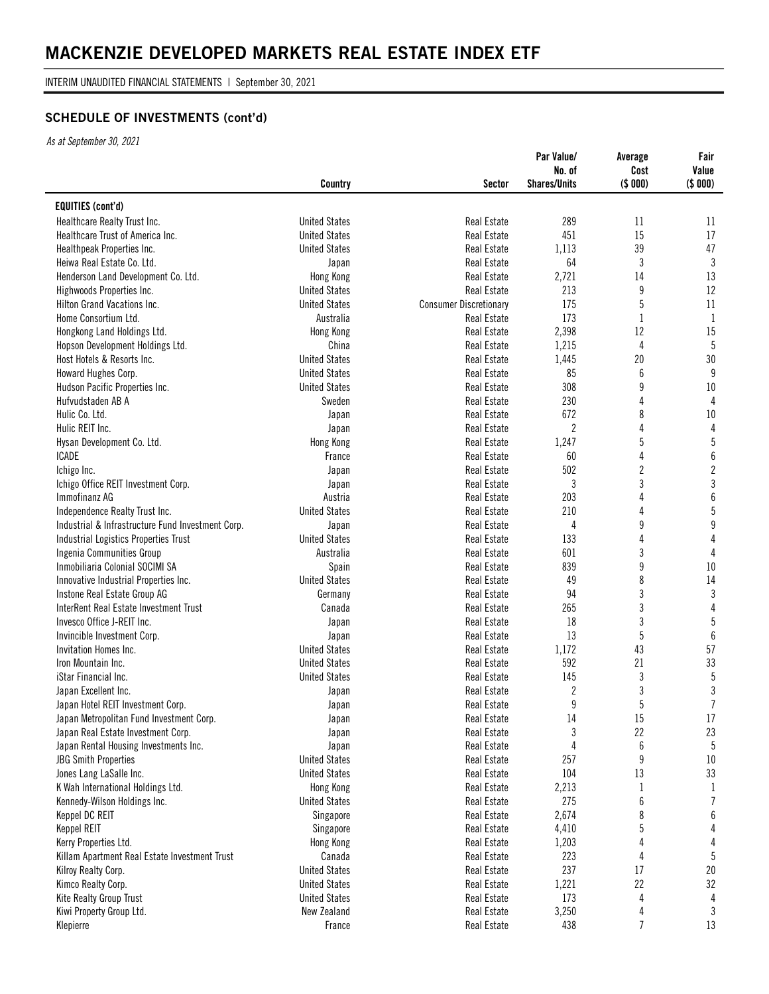INTERIM UNAUDITED FINANCIAL STATEMENTS | September 30, 2021

# **SCHEDULE OF INVESTMENTS (cont'd)**

| <b>EQUITIES (cont'd)</b><br><b>United States</b><br><b>Real Estate</b><br>289<br>11<br>Healthcare Realty Trust Inc.<br>451<br>15<br><b>United States</b><br>Real Estate<br>Healthcare Trust of America Inc.<br>39<br>1,113<br>Healthpeak Properties Inc.<br><b>United States</b><br>Real Estate<br>64<br>3<br>Heiwa Real Estate Co. Ltd.<br><b>Real Estate</b><br>Japan<br>Real Estate<br>2,721<br>14<br>Henderson Land Development Co. Ltd.<br>Hong Kong<br>213<br>9<br><b>United States</b><br><b>Real Estate</b><br>Highwoods Properties Inc.<br>175<br>5<br>Hilton Grand Vacations Inc.<br><b>United States</b><br><b>Consumer Discretionary</b><br>173<br>Home Consortium Ltd.<br>Australia<br>1<br><b>Real Estate</b><br>2,398<br>12<br>Hongkong Land Holdings Ltd.<br>Hong Kong<br><b>Real Estate</b><br>China<br>$\overline{4}$<br>Hopson Development Holdings Ltd.<br>Real Estate<br>1,215<br>20<br>Host Hotels & Resorts Inc.<br><b>United States</b><br>Real Estate<br>1,445<br><b>United States</b><br>6<br><b>Real Estate</b><br>85<br>Howard Hughes Corp.<br>308<br>9<br>Hudson Pacific Properties Inc.<br><b>United States</b><br>Real Estate<br>Sweden<br>Real Estate<br>230<br>4<br>Hufvudstaden AB A<br>672<br>8<br>Hulic Co. Ltd.<br>Real Estate<br>Japan<br>$\overline{c}$<br>4<br>Hulic REIT Inc.<br><b>Real Estate</b><br>Japan<br>5<br>Hysan Development Co. Ltd.<br>Real Estate<br>1,247<br>Hong Kong<br>4<br><b>Real Estate</b><br>60<br>ICADE<br>France<br>$\boldsymbol{2}$<br>502<br>Real Estate<br>Ichigo Inc.<br>Japan<br>3<br>3<br>Ichigo Office REIT Investment Corp.<br>Real Estate<br>Japan<br>Immofinanz AG<br>203<br>Austria<br><b>Real Estate</b><br>4<br>210<br>4<br>Independence Realty Trust Inc.<br><b>United States</b><br><b>Real Estate</b><br>9<br>Industrial & Infrastructure Fund Investment Corp.<br>Real Estate<br>4<br>Japan<br>133<br>4<br>Industrial Logistics Properties Trust<br><b>United States</b><br><b>Real Estate</b><br>3<br>601<br>Ingenia Communities Group<br>Australia<br>Real Estate<br>9<br>839<br>Inmobiliaria Colonial SOCIMI SA<br>Spain<br>Real Estate<br>8<br><b>United States</b><br>49<br>Innovative Industrial Properties Inc.<br><b>Real Estate</b><br>3<br>Germany<br><b>Real Estate</b><br>94<br>Instone Real Estate Group AG<br>3<br>InterRent Real Estate Investment Trust<br>Real Estate<br>265<br>Canada<br>3<br>18<br>Invesco Office J-REIT Inc.<br><b>Real Estate</b><br>Japan<br>5<br>13<br>Invincible Investment Corp.<br>Real Estate<br>Japan<br>43<br>Invitation Homes Inc.<br><b>United States</b><br>Real Estate<br>1,172<br>592<br>21<br>Iron Mountain Inc.<br><b>United States</b><br>Real Estate<br>3<br>145<br>iStar Financial Inc.<br><b>United States</b><br>Real Estate<br>$\boldsymbol{2}$<br>3<br>Real Estate<br>Japan Excellent Inc.<br>Japan<br>5<br>9<br>Japan Hotel REIT Investment Corp.<br>Real Estate<br>Japan<br>14<br>15<br>Japan Metropolitan Fund Investment Corp.<br>Real Estate<br>Japan<br>3<br>22<br>Japan Real Estate Investment Corp.<br>Real Estate<br>Japan<br>6<br>Japan Rental Housing Investments Inc.<br>4<br>Real Estate<br>Japan<br>9<br>257<br><b>JBG Smith Properties</b><br><b>United States</b><br>Real Estate<br>13<br>104<br>Jones Lang LaSalle Inc.<br><b>United States</b><br>Real Estate<br>K Wah International Holdings Ltd.<br>2,213<br>Hong Kong<br>Real Estate<br>1<br>$\boldsymbol{6}$<br>275<br><b>United States</b><br>Kennedy-Wilson Holdings Inc.<br>Real Estate | Country | <b>Sector</b> | Par Value/<br>No. of<br><b>Shares/Units</b> | Average<br>Cost<br>(\$000) | Fair<br>Value<br>(\$000) |
|---------------------------------------------------------------------------------------------------------------------------------------------------------------------------------------------------------------------------------------------------------------------------------------------------------------------------------------------------------------------------------------------------------------------------------------------------------------------------------------------------------------------------------------------------------------------------------------------------------------------------------------------------------------------------------------------------------------------------------------------------------------------------------------------------------------------------------------------------------------------------------------------------------------------------------------------------------------------------------------------------------------------------------------------------------------------------------------------------------------------------------------------------------------------------------------------------------------------------------------------------------------------------------------------------------------------------------------------------------------------------------------------------------------------------------------------------------------------------------------------------------------------------------------------------------------------------------------------------------------------------------------------------------------------------------------------------------------------------------------------------------------------------------------------------------------------------------------------------------------------------------------------------------------------------------------------------------------------------------------------------------------------------------------------------------------------------------------------------------------------------------------------------------------------------------------------------------------------------------------------------------------------------------------------------------------------------------------------------------------------------------------------------------------------------------------------------------------------------------------------------------------------------------------------------------------------------------------------------------------------------------------------------------------------------------------------------------------------------------------------------------------------------------------------------------------------------------------------------------------------------------------------------------------------------------------------------------------------------------------------------------------------------------------------------------------------------------------------------------------------------------------------------------------------------------------------------------------------------------------------------------------------------------------------------------------------------------------------------------------------------------------------------------------------------------------------------------------------------------------------------------------|---------|---------------|---------------------------------------------|----------------------------|--------------------------|
|                                                                                                                                                                                                                                                                                                                                                                                                                                                                                                                                                                                                                                                                                                                                                                                                                                                                                                                                                                                                                                                                                                                                                                                                                                                                                                                                                                                                                                                                                                                                                                                                                                                                                                                                                                                                                                                                                                                                                                                                                                                                                                                                                                                                                                                                                                                                                                                                                                                                                                                                                                                                                                                                                                                                                                                                                                                                                                                                                                                                                                                                                                                                                                                                                                                                                                                                                                                                                                                                                                               |         |               |                                             |                            |                          |
|                                                                                                                                                                                                                                                                                                                                                                                                                                                                                                                                                                                                                                                                                                                                                                                                                                                                                                                                                                                                                                                                                                                                                                                                                                                                                                                                                                                                                                                                                                                                                                                                                                                                                                                                                                                                                                                                                                                                                                                                                                                                                                                                                                                                                                                                                                                                                                                                                                                                                                                                                                                                                                                                                                                                                                                                                                                                                                                                                                                                                                                                                                                                                                                                                                                                                                                                                                                                                                                                                                               |         |               |                                             |                            | 11                       |
|                                                                                                                                                                                                                                                                                                                                                                                                                                                                                                                                                                                                                                                                                                                                                                                                                                                                                                                                                                                                                                                                                                                                                                                                                                                                                                                                                                                                                                                                                                                                                                                                                                                                                                                                                                                                                                                                                                                                                                                                                                                                                                                                                                                                                                                                                                                                                                                                                                                                                                                                                                                                                                                                                                                                                                                                                                                                                                                                                                                                                                                                                                                                                                                                                                                                                                                                                                                                                                                                                                               |         |               |                                             |                            | 17                       |
|                                                                                                                                                                                                                                                                                                                                                                                                                                                                                                                                                                                                                                                                                                                                                                                                                                                                                                                                                                                                                                                                                                                                                                                                                                                                                                                                                                                                                                                                                                                                                                                                                                                                                                                                                                                                                                                                                                                                                                                                                                                                                                                                                                                                                                                                                                                                                                                                                                                                                                                                                                                                                                                                                                                                                                                                                                                                                                                                                                                                                                                                                                                                                                                                                                                                                                                                                                                                                                                                                                               |         |               |                                             |                            | 47                       |
|                                                                                                                                                                                                                                                                                                                                                                                                                                                                                                                                                                                                                                                                                                                                                                                                                                                                                                                                                                                                                                                                                                                                                                                                                                                                                                                                                                                                                                                                                                                                                                                                                                                                                                                                                                                                                                                                                                                                                                                                                                                                                                                                                                                                                                                                                                                                                                                                                                                                                                                                                                                                                                                                                                                                                                                                                                                                                                                                                                                                                                                                                                                                                                                                                                                                                                                                                                                                                                                                                                               |         |               |                                             |                            | $\mathbf{3}$             |
|                                                                                                                                                                                                                                                                                                                                                                                                                                                                                                                                                                                                                                                                                                                                                                                                                                                                                                                                                                                                                                                                                                                                                                                                                                                                                                                                                                                                                                                                                                                                                                                                                                                                                                                                                                                                                                                                                                                                                                                                                                                                                                                                                                                                                                                                                                                                                                                                                                                                                                                                                                                                                                                                                                                                                                                                                                                                                                                                                                                                                                                                                                                                                                                                                                                                                                                                                                                                                                                                                                               |         |               |                                             |                            | 13                       |
|                                                                                                                                                                                                                                                                                                                                                                                                                                                                                                                                                                                                                                                                                                                                                                                                                                                                                                                                                                                                                                                                                                                                                                                                                                                                                                                                                                                                                                                                                                                                                                                                                                                                                                                                                                                                                                                                                                                                                                                                                                                                                                                                                                                                                                                                                                                                                                                                                                                                                                                                                                                                                                                                                                                                                                                                                                                                                                                                                                                                                                                                                                                                                                                                                                                                                                                                                                                                                                                                                                               |         |               |                                             |                            | 12                       |
|                                                                                                                                                                                                                                                                                                                                                                                                                                                                                                                                                                                                                                                                                                                                                                                                                                                                                                                                                                                                                                                                                                                                                                                                                                                                                                                                                                                                                                                                                                                                                                                                                                                                                                                                                                                                                                                                                                                                                                                                                                                                                                                                                                                                                                                                                                                                                                                                                                                                                                                                                                                                                                                                                                                                                                                                                                                                                                                                                                                                                                                                                                                                                                                                                                                                                                                                                                                                                                                                                                               |         |               |                                             |                            | $11\,$                   |
|                                                                                                                                                                                                                                                                                                                                                                                                                                                                                                                                                                                                                                                                                                                                                                                                                                                                                                                                                                                                                                                                                                                                                                                                                                                                                                                                                                                                                                                                                                                                                                                                                                                                                                                                                                                                                                                                                                                                                                                                                                                                                                                                                                                                                                                                                                                                                                                                                                                                                                                                                                                                                                                                                                                                                                                                                                                                                                                                                                                                                                                                                                                                                                                                                                                                                                                                                                                                                                                                                                               |         |               |                                             |                            | $\mathbf{1}$             |
|                                                                                                                                                                                                                                                                                                                                                                                                                                                                                                                                                                                                                                                                                                                                                                                                                                                                                                                                                                                                                                                                                                                                                                                                                                                                                                                                                                                                                                                                                                                                                                                                                                                                                                                                                                                                                                                                                                                                                                                                                                                                                                                                                                                                                                                                                                                                                                                                                                                                                                                                                                                                                                                                                                                                                                                                                                                                                                                                                                                                                                                                                                                                                                                                                                                                                                                                                                                                                                                                                                               |         |               |                                             |                            | 15                       |
|                                                                                                                                                                                                                                                                                                                                                                                                                                                                                                                                                                                                                                                                                                                                                                                                                                                                                                                                                                                                                                                                                                                                                                                                                                                                                                                                                                                                                                                                                                                                                                                                                                                                                                                                                                                                                                                                                                                                                                                                                                                                                                                                                                                                                                                                                                                                                                                                                                                                                                                                                                                                                                                                                                                                                                                                                                                                                                                                                                                                                                                                                                                                                                                                                                                                                                                                                                                                                                                                                                               |         |               |                                             |                            | 5                        |
|                                                                                                                                                                                                                                                                                                                                                                                                                                                                                                                                                                                                                                                                                                                                                                                                                                                                                                                                                                                                                                                                                                                                                                                                                                                                                                                                                                                                                                                                                                                                                                                                                                                                                                                                                                                                                                                                                                                                                                                                                                                                                                                                                                                                                                                                                                                                                                                                                                                                                                                                                                                                                                                                                                                                                                                                                                                                                                                                                                                                                                                                                                                                                                                                                                                                                                                                                                                                                                                                                                               |         |               |                                             |                            | 30                       |
|                                                                                                                                                                                                                                                                                                                                                                                                                                                                                                                                                                                                                                                                                                                                                                                                                                                                                                                                                                                                                                                                                                                                                                                                                                                                                                                                                                                                                                                                                                                                                                                                                                                                                                                                                                                                                                                                                                                                                                                                                                                                                                                                                                                                                                                                                                                                                                                                                                                                                                                                                                                                                                                                                                                                                                                                                                                                                                                                                                                                                                                                                                                                                                                                                                                                                                                                                                                                                                                                                                               |         |               |                                             |                            | 9                        |
|                                                                                                                                                                                                                                                                                                                                                                                                                                                                                                                                                                                                                                                                                                                                                                                                                                                                                                                                                                                                                                                                                                                                                                                                                                                                                                                                                                                                                                                                                                                                                                                                                                                                                                                                                                                                                                                                                                                                                                                                                                                                                                                                                                                                                                                                                                                                                                                                                                                                                                                                                                                                                                                                                                                                                                                                                                                                                                                                                                                                                                                                                                                                                                                                                                                                                                                                                                                                                                                                                                               |         |               |                                             |                            | $10\,$                   |
|                                                                                                                                                                                                                                                                                                                                                                                                                                                                                                                                                                                                                                                                                                                                                                                                                                                                                                                                                                                                                                                                                                                                                                                                                                                                                                                                                                                                                                                                                                                                                                                                                                                                                                                                                                                                                                                                                                                                                                                                                                                                                                                                                                                                                                                                                                                                                                                                                                                                                                                                                                                                                                                                                                                                                                                                                                                                                                                                                                                                                                                                                                                                                                                                                                                                                                                                                                                                                                                                                                               |         |               |                                             |                            | 4                        |
|                                                                                                                                                                                                                                                                                                                                                                                                                                                                                                                                                                                                                                                                                                                                                                                                                                                                                                                                                                                                                                                                                                                                                                                                                                                                                                                                                                                                                                                                                                                                                                                                                                                                                                                                                                                                                                                                                                                                                                                                                                                                                                                                                                                                                                                                                                                                                                                                                                                                                                                                                                                                                                                                                                                                                                                                                                                                                                                                                                                                                                                                                                                                                                                                                                                                                                                                                                                                                                                                                                               |         |               |                                             |                            | 10                       |
|                                                                                                                                                                                                                                                                                                                                                                                                                                                                                                                                                                                                                                                                                                                                                                                                                                                                                                                                                                                                                                                                                                                                                                                                                                                                                                                                                                                                                                                                                                                                                                                                                                                                                                                                                                                                                                                                                                                                                                                                                                                                                                                                                                                                                                                                                                                                                                                                                                                                                                                                                                                                                                                                                                                                                                                                                                                                                                                                                                                                                                                                                                                                                                                                                                                                                                                                                                                                                                                                                                               |         |               |                                             |                            | $\sqrt{4}$               |
|                                                                                                                                                                                                                                                                                                                                                                                                                                                                                                                                                                                                                                                                                                                                                                                                                                                                                                                                                                                                                                                                                                                                                                                                                                                                                                                                                                                                                                                                                                                                                                                                                                                                                                                                                                                                                                                                                                                                                                                                                                                                                                                                                                                                                                                                                                                                                                                                                                                                                                                                                                                                                                                                                                                                                                                                                                                                                                                                                                                                                                                                                                                                                                                                                                                                                                                                                                                                                                                                                                               |         |               |                                             |                            | $\overline{5}$           |
|                                                                                                                                                                                                                                                                                                                                                                                                                                                                                                                                                                                                                                                                                                                                                                                                                                                                                                                                                                                                                                                                                                                                                                                                                                                                                                                                                                                                                                                                                                                                                                                                                                                                                                                                                                                                                                                                                                                                                                                                                                                                                                                                                                                                                                                                                                                                                                                                                                                                                                                                                                                                                                                                                                                                                                                                                                                                                                                                                                                                                                                                                                                                                                                                                                                                                                                                                                                                                                                                                                               |         |               |                                             |                            | $\boldsymbol{6}$         |
|                                                                                                                                                                                                                                                                                                                                                                                                                                                                                                                                                                                                                                                                                                                                                                                                                                                                                                                                                                                                                                                                                                                                                                                                                                                                                                                                                                                                                                                                                                                                                                                                                                                                                                                                                                                                                                                                                                                                                                                                                                                                                                                                                                                                                                                                                                                                                                                                                                                                                                                                                                                                                                                                                                                                                                                                                                                                                                                                                                                                                                                                                                                                                                                                                                                                                                                                                                                                                                                                                                               |         |               |                                             |                            | $\mathbf{2}$             |
|                                                                                                                                                                                                                                                                                                                                                                                                                                                                                                                                                                                                                                                                                                                                                                                                                                                                                                                                                                                                                                                                                                                                                                                                                                                                                                                                                                                                                                                                                                                                                                                                                                                                                                                                                                                                                                                                                                                                                                                                                                                                                                                                                                                                                                                                                                                                                                                                                                                                                                                                                                                                                                                                                                                                                                                                                                                                                                                                                                                                                                                                                                                                                                                                                                                                                                                                                                                                                                                                                                               |         |               |                                             |                            | $\sqrt{3}$               |
|                                                                                                                                                                                                                                                                                                                                                                                                                                                                                                                                                                                                                                                                                                                                                                                                                                                                                                                                                                                                                                                                                                                                                                                                                                                                                                                                                                                                                                                                                                                                                                                                                                                                                                                                                                                                                                                                                                                                                                                                                                                                                                                                                                                                                                                                                                                                                                                                                                                                                                                                                                                                                                                                                                                                                                                                                                                                                                                                                                                                                                                                                                                                                                                                                                                                                                                                                                                                                                                                                                               |         |               |                                             |                            | 6                        |
|                                                                                                                                                                                                                                                                                                                                                                                                                                                                                                                                                                                                                                                                                                                                                                                                                                                                                                                                                                                                                                                                                                                                                                                                                                                                                                                                                                                                                                                                                                                                                                                                                                                                                                                                                                                                                                                                                                                                                                                                                                                                                                                                                                                                                                                                                                                                                                                                                                                                                                                                                                                                                                                                                                                                                                                                                                                                                                                                                                                                                                                                                                                                                                                                                                                                                                                                                                                                                                                                                                               |         |               |                                             |                            | $\sqrt{5}$               |
|                                                                                                                                                                                                                                                                                                                                                                                                                                                                                                                                                                                                                                                                                                                                                                                                                                                                                                                                                                                                                                                                                                                                                                                                                                                                                                                                                                                                                                                                                                                                                                                                                                                                                                                                                                                                                                                                                                                                                                                                                                                                                                                                                                                                                                                                                                                                                                                                                                                                                                                                                                                                                                                                                                                                                                                                                                                                                                                                                                                                                                                                                                                                                                                                                                                                                                                                                                                                                                                                                                               |         |               |                                             |                            | $\boldsymbol{9}$         |
|                                                                                                                                                                                                                                                                                                                                                                                                                                                                                                                                                                                                                                                                                                                                                                                                                                                                                                                                                                                                                                                                                                                                                                                                                                                                                                                                                                                                                                                                                                                                                                                                                                                                                                                                                                                                                                                                                                                                                                                                                                                                                                                                                                                                                                                                                                                                                                                                                                                                                                                                                                                                                                                                                                                                                                                                                                                                                                                                                                                                                                                                                                                                                                                                                                                                                                                                                                                                                                                                                                               |         |               |                                             |                            | $\overline{4}$           |
|                                                                                                                                                                                                                                                                                                                                                                                                                                                                                                                                                                                                                                                                                                                                                                                                                                                                                                                                                                                                                                                                                                                                                                                                                                                                                                                                                                                                                                                                                                                                                                                                                                                                                                                                                                                                                                                                                                                                                                                                                                                                                                                                                                                                                                                                                                                                                                                                                                                                                                                                                                                                                                                                                                                                                                                                                                                                                                                                                                                                                                                                                                                                                                                                                                                                                                                                                                                                                                                                                                               |         |               |                                             |                            | 4                        |
|                                                                                                                                                                                                                                                                                                                                                                                                                                                                                                                                                                                                                                                                                                                                                                                                                                                                                                                                                                                                                                                                                                                                                                                                                                                                                                                                                                                                                                                                                                                                                                                                                                                                                                                                                                                                                                                                                                                                                                                                                                                                                                                                                                                                                                                                                                                                                                                                                                                                                                                                                                                                                                                                                                                                                                                                                                                                                                                                                                                                                                                                                                                                                                                                                                                                                                                                                                                                                                                                                                               |         |               |                                             |                            | 10                       |
|                                                                                                                                                                                                                                                                                                                                                                                                                                                                                                                                                                                                                                                                                                                                                                                                                                                                                                                                                                                                                                                                                                                                                                                                                                                                                                                                                                                                                                                                                                                                                                                                                                                                                                                                                                                                                                                                                                                                                                                                                                                                                                                                                                                                                                                                                                                                                                                                                                                                                                                                                                                                                                                                                                                                                                                                                                                                                                                                                                                                                                                                                                                                                                                                                                                                                                                                                                                                                                                                                                               |         |               |                                             |                            | 14                       |
|                                                                                                                                                                                                                                                                                                                                                                                                                                                                                                                                                                                                                                                                                                                                                                                                                                                                                                                                                                                                                                                                                                                                                                                                                                                                                                                                                                                                                                                                                                                                                                                                                                                                                                                                                                                                                                                                                                                                                                                                                                                                                                                                                                                                                                                                                                                                                                                                                                                                                                                                                                                                                                                                                                                                                                                                                                                                                                                                                                                                                                                                                                                                                                                                                                                                                                                                                                                                                                                                                                               |         |               |                                             |                            | $\mathbf{3}$             |
|                                                                                                                                                                                                                                                                                                                                                                                                                                                                                                                                                                                                                                                                                                                                                                                                                                                                                                                                                                                                                                                                                                                                                                                                                                                                                                                                                                                                                                                                                                                                                                                                                                                                                                                                                                                                                                                                                                                                                                                                                                                                                                                                                                                                                                                                                                                                                                                                                                                                                                                                                                                                                                                                                                                                                                                                                                                                                                                                                                                                                                                                                                                                                                                                                                                                                                                                                                                                                                                                                                               |         |               |                                             |                            | $\sqrt{4}$               |
|                                                                                                                                                                                                                                                                                                                                                                                                                                                                                                                                                                                                                                                                                                                                                                                                                                                                                                                                                                                                                                                                                                                                                                                                                                                                                                                                                                                                                                                                                                                                                                                                                                                                                                                                                                                                                                                                                                                                                                                                                                                                                                                                                                                                                                                                                                                                                                                                                                                                                                                                                                                                                                                                                                                                                                                                                                                                                                                                                                                                                                                                                                                                                                                                                                                                                                                                                                                                                                                                                                               |         |               |                                             |                            | $\overline{5}$           |
|                                                                                                                                                                                                                                                                                                                                                                                                                                                                                                                                                                                                                                                                                                                                                                                                                                                                                                                                                                                                                                                                                                                                                                                                                                                                                                                                                                                                                                                                                                                                                                                                                                                                                                                                                                                                                                                                                                                                                                                                                                                                                                                                                                                                                                                                                                                                                                                                                                                                                                                                                                                                                                                                                                                                                                                                                                                                                                                                                                                                                                                                                                                                                                                                                                                                                                                                                                                                                                                                                                               |         |               |                                             |                            | $6\,$                    |
|                                                                                                                                                                                                                                                                                                                                                                                                                                                                                                                                                                                                                                                                                                                                                                                                                                                                                                                                                                                                                                                                                                                                                                                                                                                                                                                                                                                                                                                                                                                                                                                                                                                                                                                                                                                                                                                                                                                                                                                                                                                                                                                                                                                                                                                                                                                                                                                                                                                                                                                                                                                                                                                                                                                                                                                                                                                                                                                                                                                                                                                                                                                                                                                                                                                                                                                                                                                                                                                                                                               |         |               |                                             |                            | 57                       |
|                                                                                                                                                                                                                                                                                                                                                                                                                                                                                                                                                                                                                                                                                                                                                                                                                                                                                                                                                                                                                                                                                                                                                                                                                                                                                                                                                                                                                                                                                                                                                                                                                                                                                                                                                                                                                                                                                                                                                                                                                                                                                                                                                                                                                                                                                                                                                                                                                                                                                                                                                                                                                                                                                                                                                                                                                                                                                                                                                                                                                                                                                                                                                                                                                                                                                                                                                                                                                                                                                                               |         |               |                                             |                            | 33                       |
|                                                                                                                                                                                                                                                                                                                                                                                                                                                                                                                                                                                                                                                                                                                                                                                                                                                                                                                                                                                                                                                                                                                                                                                                                                                                                                                                                                                                                                                                                                                                                                                                                                                                                                                                                                                                                                                                                                                                                                                                                                                                                                                                                                                                                                                                                                                                                                                                                                                                                                                                                                                                                                                                                                                                                                                                                                                                                                                                                                                                                                                                                                                                                                                                                                                                                                                                                                                                                                                                                                               |         |               |                                             |                            | $\overline{5}$           |
|                                                                                                                                                                                                                                                                                                                                                                                                                                                                                                                                                                                                                                                                                                                                                                                                                                                                                                                                                                                                                                                                                                                                                                                                                                                                                                                                                                                                                                                                                                                                                                                                                                                                                                                                                                                                                                                                                                                                                                                                                                                                                                                                                                                                                                                                                                                                                                                                                                                                                                                                                                                                                                                                                                                                                                                                                                                                                                                                                                                                                                                                                                                                                                                                                                                                                                                                                                                                                                                                                                               |         |               |                                             |                            | $\mathfrak{z}$           |
|                                                                                                                                                                                                                                                                                                                                                                                                                                                                                                                                                                                                                                                                                                                                                                                                                                                                                                                                                                                                                                                                                                                                                                                                                                                                                                                                                                                                                                                                                                                                                                                                                                                                                                                                                                                                                                                                                                                                                                                                                                                                                                                                                                                                                                                                                                                                                                                                                                                                                                                                                                                                                                                                                                                                                                                                                                                                                                                                                                                                                                                                                                                                                                                                                                                                                                                                                                                                                                                                                                               |         |               |                                             |                            | $\overline{7}$           |
|                                                                                                                                                                                                                                                                                                                                                                                                                                                                                                                                                                                                                                                                                                                                                                                                                                                                                                                                                                                                                                                                                                                                                                                                                                                                                                                                                                                                                                                                                                                                                                                                                                                                                                                                                                                                                                                                                                                                                                                                                                                                                                                                                                                                                                                                                                                                                                                                                                                                                                                                                                                                                                                                                                                                                                                                                                                                                                                                                                                                                                                                                                                                                                                                                                                                                                                                                                                                                                                                                                               |         |               |                                             |                            | 17                       |
|                                                                                                                                                                                                                                                                                                                                                                                                                                                                                                                                                                                                                                                                                                                                                                                                                                                                                                                                                                                                                                                                                                                                                                                                                                                                                                                                                                                                                                                                                                                                                                                                                                                                                                                                                                                                                                                                                                                                                                                                                                                                                                                                                                                                                                                                                                                                                                                                                                                                                                                                                                                                                                                                                                                                                                                                                                                                                                                                                                                                                                                                                                                                                                                                                                                                                                                                                                                                                                                                                                               |         |               |                                             |                            | 23                       |
|                                                                                                                                                                                                                                                                                                                                                                                                                                                                                                                                                                                                                                                                                                                                                                                                                                                                                                                                                                                                                                                                                                                                                                                                                                                                                                                                                                                                                                                                                                                                                                                                                                                                                                                                                                                                                                                                                                                                                                                                                                                                                                                                                                                                                                                                                                                                                                                                                                                                                                                                                                                                                                                                                                                                                                                                                                                                                                                                                                                                                                                                                                                                                                                                                                                                                                                                                                                                                                                                                                               |         |               |                                             |                            | 5                        |
|                                                                                                                                                                                                                                                                                                                                                                                                                                                                                                                                                                                                                                                                                                                                                                                                                                                                                                                                                                                                                                                                                                                                                                                                                                                                                                                                                                                                                                                                                                                                                                                                                                                                                                                                                                                                                                                                                                                                                                                                                                                                                                                                                                                                                                                                                                                                                                                                                                                                                                                                                                                                                                                                                                                                                                                                                                                                                                                                                                                                                                                                                                                                                                                                                                                                                                                                                                                                                                                                                                               |         |               |                                             |                            | $10\,$                   |
|                                                                                                                                                                                                                                                                                                                                                                                                                                                                                                                                                                                                                                                                                                                                                                                                                                                                                                                                                                                                                                                                                                                                                                                                                                                                                                                                                                                                                                                                                                                                                                                                                                                                                                                                                                                                                                                                                                                                                                                                                                                                                                                                                                                                                                                                                                                                                                                                                                                                                                                                                                                                                                                                                                                                                                                                                                                                                                                                                                                                                                                                                                                                                                                                                                                                                                                                                                                                                                                                                                               |         |               |                                             |                            | 33                       |
|                                                                                                                                                                                                                                                                                                                                                                                                                                                                                                                                                                                                                                                                                                                                                                                                                                                                                                                                                                                                                                                                                                                                                                                                                                                                                                                                                                                                                                                                                                                                                                                                                                                                                                                                                                                                                                                                                                                                                                                                                                                                                                                                                                                                                                                                                                                                                                                                                                                                                                                                                                                                                                                                                                                                                                                                                                                                                                                                                                                                                                                                                                                                                                                                                                                                                                                                                                                                                                                                                                               |         |               |                                             |                            | 1                        |
|                                                                                                                                                                                                                                                                                                                                                                                                                                                                                                                                                                                                                                                                                                                                                                                                                                                                                                                                                                                                                                                                                                                                                                                                                                                                                                                                                                                                                                                                                                                                                                                                                                                                                                                                                                                                                                                                                                                                                                                                                                                                                                                                                                                                                                                                                                                                                                                                                                                                                                                                                                                                                                                                                                                                                                                                                                                                                                                                                                                                                                                                                                                                                                                                                                                                                                                                                                                                                                                                                                               |         |               |                                             |                            | $\overline{7}$           |
| Keppel DC REIT<br>Singapore<br>Real Estate                                                                                                                                                                                                                                                                                                                                                                                                                                                                                                                                                                                                                                                                                                                                                                                                                                                                                                                                                                                                                                                                                                                                                                                                                                                                                                                                                                                                                                                                                                                                                                                                                                                                                                                                                                                                                                                                                                                                                                                                                                                                                                                                                                                                                                                                                                                                                                                                                                                                                                                                                                                                                                                                                                                                                                                                                                                                                                                                                                                                                                                                                                                                                                                                                                                                                                                                                                                                                                                                    |         |               | 2,674                                       | 8                          | $\boldsymbol{6}$         |
| 5<br>Keppel REIT<br>4,410<br>Singapore<br>Real Estate                                                                                                                                                                                                                                                                                                                                                                                                                                                                                                                                                                                                                                                                                                                                                                                                                                                                                                                                                                                                                                                                                                                                                                                                                                                                                                                                                                                                                                                                                                                                                                                                                                                                                                                                                                                                                                                                                                                                                                                                                                                                                                                                                                                                                                                                                                                                                                                                                                                                                                                                                                                                                                                                                                                                                                                                                                                                                                                                                                                                                                                                                                                                                                                                                                                                                                                                                                                                                                                         |         |               |                                             |                            | 4                        |
| 4<br>Kerry Properties Ltd.<br>1,203<br>Hong Kong<br>Real Estate                                                                                                                                                                                                                                                                                                                                                                                                                                                                                                                                                                                                                                                                                                                                                                                                                                                                                                                                                                                                                                                                                                                                                                                                                                                                                                                                                                                                                                                                                                                                                                                                                                                                                                                                                                                                                                                                                                                                                                                                                                                                                                                                                                                                                                                                                                                                                                                                                                                                                                                                                                                                                                                                                                                                                                                                                                                                                                                                                                                                                                                                                                                                                                                                                                                                                                                                                                                                                                               |         |               |                                             |                            | 4                        |
| 223<br>4<br>Killam Apartment Real Estate Investment Trust<br>Canada<br>Real Estate                                                                                                                                                                                                                                                                                                                                                                                                                                                                                                                                                                                                                                                                                                                                                                                                                                                                                                                                                                                                                                                                                                                                                                                                                                                                                                                                                                                                                                                                                                                                                                                                                                                                                                                                                                                                                                                                                                                                                                                                                                                                                                                                                                                                                                                                                                                                                                                                                                                                                                                                                                                                                                                                                                                                                                                                                                                                                                                                                                                                                                                                                                                                                                                                                                                                                                                                                                                                                            |         |               |                                             |                            | $5\,$                    |
| 237<br>17<br><b>United States</b><br>Kilroy Realty Corp.<br>Real Estate                                                                                                                                                                                                                                                                                                                                                                                                                                                                                                                                                                                                                                                                                                                                                                                                                                                                                                                                                                                                                                                                                                                                                                                                                                                                                                                                                                                                                                                                                                                                                                                                                                                                                                                                                                                                                                                                                                                                                                                                                                                                                                                                                                                                                                                                                                                                                                                                                                                                                                                                                                                                                                                                                                                                                                                                                                                                                                                                                                                                                                                                                                                                                                                                                                                                                                                                                                                                                                       |         |               |                                             |                            | $20\,$                   |
| 22<br>1,221<br>Kimco Realty Corp.<br><b>United States</b><br>Real Estate                                                                                                                                                                                                                                                                                                                                                                                                                                                                                                                                                                                                                                                                                                                                                                                                                                                                                                                                                                                                                                                                                                                                                                                                                                                                                                                                                                                                                                                                                                                                                                                                                                                                                                                                                                                                                                                                                                                                                                                                                                                                                                                                                                                                                                                                                                                                                                                                                                                                                                                                                                                                                                                                                                                                                                                                                                                                                                                                                                                                                                                                                                                                                                                                                                                                                                                                                                                                                                      |         |               |                                             |                            | 32                       |
| 173<br>4<br>Kite Realty Group Trust<br><b>United States</b><br>Real Estate                                                                                                                                                                                                                                                                                                                                                                                                                                                                                                                                                                                                                                                                                                                                                                                                                                                                                                                                                                                                                                                                                                                                                                                                                                                                                                                                                                                                                                                                                                                                                                                                                                                                                                                                                                                                                                                                                                                                                                                                                                                                                                                                                                                                                                                                                                                                                                                                                                                                                                                                                                                                                                                                                                                                                                                                                                                                                                                                                                                                                                                                                                                                                                                                                                                                                                                                                                                                                                    |         |               |                                             |                            | 4                        |
| 3,250<br>Kiwi Property Group Ltd.<br>New Zealand<br>Real Estate<br>4                                                                                                                                                                                                                                                                                                                                                                                                                                                                                                                                                                                                                                                                                                                                                                                                                                                                                                                                                                                                                                                                                                                                                                                                                                                                                                                                                                                                                                                                                                                                                                                                                                                                                                                                                                                                                                                                                                                                                                                                                                                                                                                                                                                                                                                                                                                                                                                                                                                                                                                                                                                                                                                                                                                                                                                                                                                                                                                                                                                                                                                                                                                                                                                                                                                                                                                                                                                                                                          |         |               |                                             |                            | 3                        |
| 7<br>438<br>Klepierre<br>France<br>Real Estate                                                                                                                                                                                                                                                                                                                                                                                                                                                                                                                                                                                                                                                                                                                                                                                                                                                                                                                                                                                                                                                                                                                                                                                                                                                                                                                                                                                                                                                                                                                                                                                                                                                                                                                                                                                                                                                                                                                                                                                                                                                                                                                                                                                                                                                                                                                                                                                                                                                                                                                                                                                                                                                                                                                                                                                                                                                                                                                                                                                                                                                                                                                                                                                                                                                                                                                                                                                                                                                                |         |               |                                             |                            | 13                       |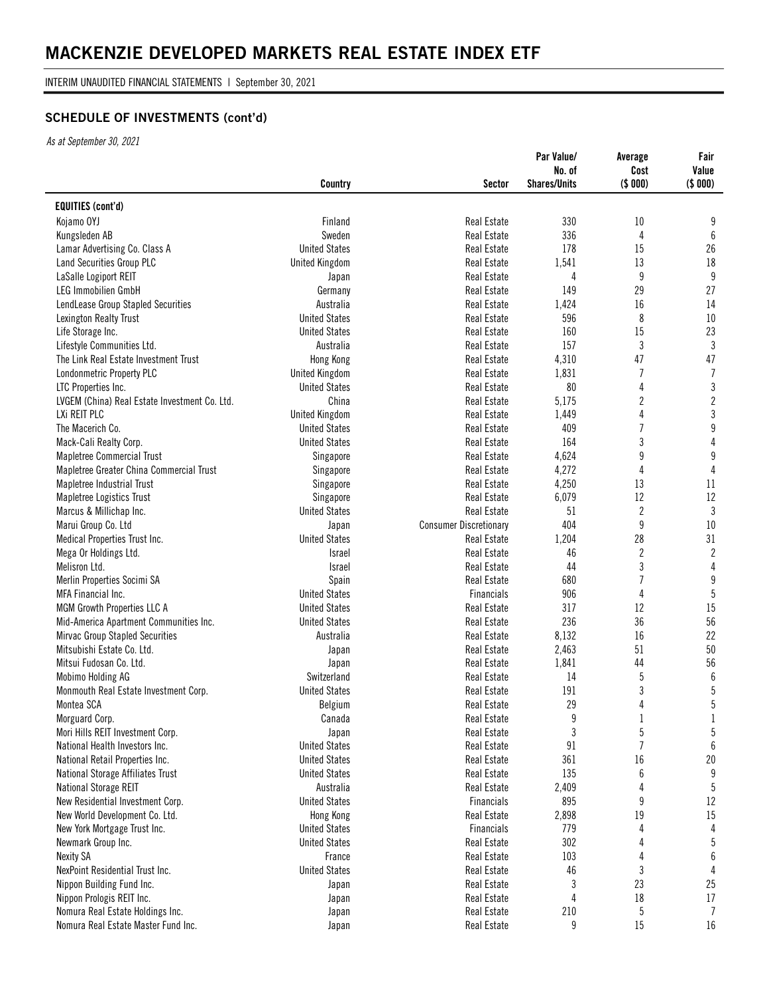INTERIM UNAUDITED FINANCIAL STATEMENTS | September 30, 2021

# **SCHEDULE OF INVESTMENTS (cont'd)**

|                                               | Country               | <b>Sector</b>                 | Par Value/<br>No. of<br><b>Shares/Units</b> | Average<br>Cost<br>(\$000) | Fair<br>Value<br>(\$000) |
|-----------------------------------------------|-----------------------|-------------------------------|---------------------------------------------|----------------------------|--------------------------|
| <b>EQUITIES (cont'd)</b>                      |                       |                               |                                             |                            |                          |
| Kojamo OYJ                                    | Finland               | <b>Real Estate</b>            | 330                                         | 10                         | 9                        |
| Kungsleden AB                                 | Sweden                | Real Estate                   | 336                                         | 4                          | 6                        |
| Lamar Advertising Co. Class A                 | <b>United States</b>  | <b>Real Estate</b>            | 178                                         | 15                         | 26                       |
| Land Securities Group PLC                     | <b>United Kingdom</b> | <b>Real Estate</b>            | 1,541                                       | 13                         | 18                       |
| LaSalle Logiport REIT                         | Japan                 | Real Estate                   | 4                                           | 9                          | 9                        |
| LEG Immobilien GmbH                           | Germany               | <b>Real Estate</b>            | 149                                         | 29                         | 27                       |
| LendLease Group Stapled Securities            | Australia             | Real Estate                   | 1,424                                       | 16                         | 14                       |
| Lexington Realty Trust                        | <b>United States</b>  | Real Estate                   | 596                                         | 8                          | $10\,$                   |
| Life Storage Inc.                             | <b>United States</b>  | <b>Real Estate</b>            | 160                                         | 15                         | 23                       |
| Lifestyle Communities Ltd.                    | Australia             | <b>Real Estate</b>            | 157                                         | 3                          | $\mathfrak{Z}$           |
| The Link Real Estate Investment Trust         | Hong Kong             | Real Estate                   | 4,310                                       | 47                         | 47                       |
| Londonmetric Property PLC                     | <b>United Kingdom</b> | <b>Real Estate</b>            | 1,831                                       | 7                          | $\overline{1}$           |
| LTC Properties Inc.                           | <b>United States</b>  | Real Estate                   | 80                                          | 4                          | $\sqrt{3}$               |
| LVGEM (China) Real Estate Investment Co. Ltd. | China                 | Real Estate                   | 5,175                                       | 2                          | $\mathbf{2}$             |
| LXi REIT PLC                                  | <b>United Kingdom</b> | <b>Real Estate</b>            | 1,449                                       | 4                          | $\sqrt{3}$               |
| The Macerich Co.                              | <b>United States</b>  | <b>Real Estate</b>            | 409                                         | $\overline{1}$             | $\boldsymbol{9}$         |
| Mack-Cali Realty Corp.                        | <b>United States</b>  | Real Estate                   | 164                                         | 3                          | $\overline{4}$           |
| <b>Mapletree Commercial Trust</b>             | Singapore             | <b>Real Estate</b>            | 4,624                                       | 9                          | $\boldsymbol{9}$         |
| Mapletree Greater China Commercial Trust      | Singapore             | Real Estate                   | 4,272                                       | 4                          | $\sqrt{4}$               |
| Mapletree Industrial Trust                    | Singapore             | Real Estate                   | 4,250                                       | 13                         | 11                       |
| Mapletree Logistics Trust                     | Singapore             | <b>Real Estate</b>            | 6,079                                       | 12                         | 12                       |
| Marcus & Millichap Inc.                       | <b>United States</b>  | <b>Real Estate</b>            | 51                                          | $\overline{2}$             | $\mathfrak{Z}$           |
| Marui Group Co. Ltd                           | Japan                 | <b>Consumer Discretionary</b> | 404                                         | 9                          | 10                       |
| Medical Properties Trust Inc.                 | <b>United States</b>  | <b>Real Estate</b>            | 1,204                                       | 28                         | 31                       |
| Mega Or Holdings Ltd.                         | Israel                | Real Estate                   | 46                                          | $\boldsymbol{2}$           | $\sqrt{2}$               |
| Melisron Ltd.                                 | <b>Israel</b>         | <b>Real Estate</b>            | 44                                          | 3                          | $\sqrt{4}$               |
| Merlin Properties Socimi SA                   | Spain                 | <b>Real Estate</b>            | 680                                         | 7                          | $\boldsymbol{9}$         |
| MFA Financial Inc.                            | <b>United States</b>  | <b>Financials</b>             | 906                                         | 4                          | $\sqrt{5}$               |
| MGM Growth Properties LLC A                   | <b>United States</b>  | Real Estate                   | 317                                         | 12                         | 15                       |
| Mid-America Apartment Communities Inc.        | <b>United States</b>  | <b>Real Estate</b>            | 236                                         | 36                         | 56                       |
| Mirvac Group Stapled Securities               | Australia             | <b>Real Estate</b>            | 8,132                                       | 16                         | 22                       |
| Mitsubishi Estate Co. Ltd.                    | Japan                 | Real Estate                   | 2,463                                       | 51                         | 50                       |
| Mitsui Fudosan Co. Ltd.                       | Japan                 | Real Estate                   | 1,841                                       | 44                         | 56                       |
| Mobimo Holding AG                             | Switzerland           | Real Estate                   | 14                                          | 5                          | $\boldsymbol{6}$         |
| Monmouth Real Estate Investment Corp.         | <b>United States</b>  | <b>Real Estate</b>            | 191                                         | 3                          | $\overline{5}$           |
| Montea SCA                                    | Belgium               | Real Estate                   | 29                                          | 4                          | 5                        |
| Morguard Corp.                                | Canada                | Real Estate                   | 9                                           | 1                          | $\mathbf{1}$             |
| Mori Hills REIT Investment Corp.              | Japan                 | Real Estate                   | 3                                           | 5                          | $5\,$                    |
| National Health Investors Inc.                | <b>United States</b>  | Real Estate                   | 91                                          | 7                          | 6                        |
| National Retail Properties Inc.               | <b>United States</b>  | Real Estate                   | 361                                         | 16                         | $20\,$                   |
| National Storage Affiliates Trust             | <b>United States</b>  | Real Estate                   | 135                                         | 6                          | 9                        |
| <b>National Storage REIT</b>                  | Australia             | Real Estate                   | 2,409                                       | 4                          | 5                        |
| New Residential Investment Corp.              | <b>United States</b>  | Financials                    | 895                                         | 9                          | 12                       |
| New World Development Co. Ltd.                | Hong Kong             | Real Estate                   | 2,898                                       | 19                         | 15                       |
| New York Mortgage Trust Inc.                  | <b>United States</b>  | <b>Financials</b>             | 779                                         | 4                          | 4                        |
| Newmark Group Inc.                            | <b>United States</b>  | Real Estate                   | 302                                         | 4                          | $5\,$                    |
| <b>Nexity SA</b>                              | France                | Real Estate                   | 103                                         | 4                          | 6                        |
| NexPoint Residential Trust Inc.               | <b>United States</b>  | Real Estate                   | 46                                          | 3                          | 4                        |
| Nippon Building Fund Inc.                     | Japan                 | Real Estate                   | 3                                           | 23                         | 25                       |
| Nippon Prologis REIT Inc.                     | Japan                 | Real Estate                   | 4                                           | 18                         | 17                       |
| Nomura Real Estate Holdings Inc.              | Japan                 | Real Estate                   | 210                                         | 5                          | 7                        |
| Nomura Real Estate Master Fund Inc.           | Japan                 | Real Estate                   | 9                                           | 15                         | 16                       |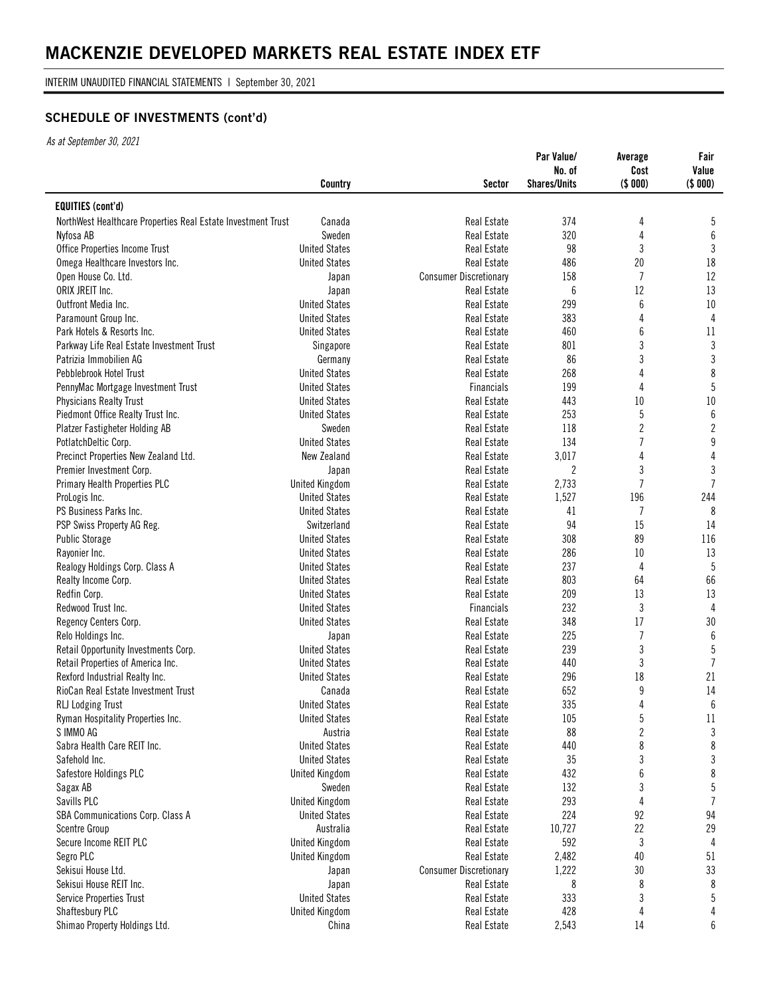INTERIM UNAUDITED FINANCIAL STATEMENTS | September 30, 2021

# **SCHEDULE OF INVESTMENTS (cont'd)**

|                                                              | Country               | <b>Sector</b>                 | Par Value/<br>No. of<br><b>Shares/Units</b> | Average<br>Cost<br>(\$000) | Fair<br>Value<br>(\$000) |
|--------------------------------------------------------------|-----------------------|-------------------------------|---------------------------------------------|----------------------------|--------------------------|
| <b>EQUITIES (cont'd)</b>                                     |                       |                               |                                             |                            |                          |
| NorthWest Healthcare Properties Real Estate Investment Trust | Canada                | Real Estate                   | 374                                         | 4                          | 5                        |
| Nyfosa AB                                                    | Sweden                | Real Estate                   | 320                                         | 4                          | 6                        |
| Office Properties Income Trust                               | <b>United States</b>  | Real Estate                   | 98                                          | 3                          | 3                        |
| Omega Healthcare Investors Inc.                              | <b>United States</b>  | <b>Real Estate</b>            | 486                                         | 20                         | 18                       |
| Open House Co. Ltd.                                          | Japan                 | <b>Consumer Discretionary</b> | 158                                         | $\overline{7}$             | 12                       |
| ORIX JREIT Inc.                                              | Japan                 | <b>Real Estate</b>            | 6                                           | 12                         | 13                       |
| Outfront Media Inc.                                          | <b>United States</b>  | Real Estate                   | 299                                         | $6\phantom{a}$             | $10\,$                   |
| Paramount Group Inc.                                         | <b>United States</b>  | Real Estate                   | 383                                         | 4                          | $\overline{4}$           |
| Park Hotels & Resorts Inc.                                   | <b>United States</b>  | Real Estate                   | 460                                         | 6                          | 11                       |
| Parkway Life Real Estate Investment Trust                    | Singapore             | <b>Real Estate</b>            | 801                                         | 3                          | $\mathfrak{Z}$           |
| Patrizia Immobilien AG                                       | Germany               | Real Estate                   | 86                                          | 3                          | $\mathfrak{Z}$           |
| Pebblebrook Hotel Trust                                      | <b>United States</b>  | <b>Real Estate</b>            | 268                                         | 4                          | $\,8\,$                  |
| PennyMac Mortgage Investment Trust                           | <b>United States</b>  | Financials                    | 199                                         | 4                          | $5\,$                    |
| <b>Physicians Realty Trust</b>                               | <b>United States</b>  | <b>Real Estate</b>            | 443                                         | 10                         | $10\,$                   |
| Piedmont Office Realty Trust Inc.                            | <b>United States</b>  | Real Estate                   | 253                                         | 5                          | $\boldsymbol{6}$         |
| <b>Platzer Fastigheter Holding AB</b>                        | Sweden                | <b>Real Estate</b>            | 118                                         | 2                          | $\sqrt{2}$               |
| PotlatchDeltic Corp.                                         | <b>United States</b>  | Real Estate                   | 134                                         | $\overline{7}$             | 9                        |
| Precinct Properties New Zealand Ltd.                         | New Zealand           | <b>Real Estate</b>            | 3,017                                       | 4                          | $\sqrt{4}$               |
| Premier Investment Corp.                                     | Japan                 | Real Estate                   | $\overline{c}$                              | $\mathfrak{z}$             | $\mathbf{3}$             |
| Primary Health Properties PLC                                | <b>United Kingdom</b> | Real Estate                   | 2,733                                       | $\overline{7}$             | $\overline{7}$           |
| ProLogis Inc.                                                | <b>United States</b>  | Real Estate                   | 1,527                                       | 196                        | 244                      |
| PS Business Parks Inc.                                       | <b>United States</b>  | <b>Real Estate</b>            | 41                                          | 7                          | 8                        |
| PSP Swiss Property AG Reg.                                   | Switzerland           | Real Estate                   | 94                                          | 15                         | 14                       |
| <b>Public Storage</b>                                        | <b>United States</b>  | <b>Real Estate</b>            | 308                                         | 89                         | 116                      |
| Rayonier Inc.                                                | <b>United States</b>  | Real Estate                   | 286                                         | $10\,$                     | 13                       |
| Realogy Holdings Corp. Class A                               | <b>United States</b>  | Real Estate                   | 237                                         | 4                          | 5                        |
| Realty Income Corp.                                          | <b>United States</b>  | Real Estate                   | 803                                         | 64                         | 66                       |
| Redfin Corp.                                                 | <b>United States</b>  | <b>Real Estate</b>            | 209                                         | 13                         | 13                       |
| Redwood Trust Inc.                                           | <b>United States</b>  | Financials                    | 232                                         | 3                          | 4                        |
| Regency Centers Corp.                                        | <b>United States</b>  | <b>Real Estate</b>            | 348                                         | 17                         | 30                       |
| Relo Holdings Inc.                                           | Japan                 | <b>Real Estate</b>            | 225                                         | $\overline{1}$             | $6\,$                    |
| Retail Opportunity Investments Corp.                         | <b>United States</b>  | Real Estate                   | 239                                         | 3                          | $\sqrt{5}$               |
| Retail Properties of America Inc.                            | <b>United States</b>  | Real Estate                   | 440                                         | 3                          | $\overline{1}$           |
| Rexford Industrial Realty Inc.                               | <b>United States</b>  | Real Estate                   | 296                                         | 18                         | 21                       |
| RioCan Real Estate Investment Trust                          | Canada                | <b>Real Estate</b>            | 652                                         | 9                          | 14                       |
| RLJ Lodging Trust                                            | <b>United States</b>  | Real Estate                   | 335                                         | 4                          | $6\phantom{.}6$          |
| Ryman Hospitality Properties Inc.                            | <b>United States</b>  | Real Estate                   | 105                                         | $\sqrt{5}$                 | 11                       |
| S IMMO AG                                                    | Austria               | Real Estate                   | 88                                          | $\overline{c}$             | 3                        |
| Sabra Health Care REIT Inc.                                  | <b>United States</b>  | <b>Real Estate</b>            | 440                                         | 8                          | 8                        |
| Safehold Inc.                                                | <b>United States</b>  | <b>Real Estate</b>            | 35                                          | 3                          | $\sqrt{3}$               |
| Safestore Holdings PLC                                       | <b>United Kingdom</b> | Real Estate                   | 432                                         | 6                          | 8                        |
| Sagax AB                                                     | Sweden                | <b>Real Estate</b>            | 132                                         | 3                          | $5\,$                    |
| Savills PLC                                                  | <b>United Kingdom</b> | Real Estate                   | 293                                         | $\sqrt{4}$                 | $\overline{7}$           |
| SBA Communications Corp. Class A                             | <b>United States</b>  | Real Estate                   | 224                                         | 92                         | 94                       |
| <b>Scentre Group</b>                                         | Australia             | Real Estate                   | 10,727                                      | 22                         | 29                       |
| Secure Income REIT PLC                                       | <b>United Kingdom</b> | <b>Real Estate</b>            | 592                                         | 3                          | 4                        |
| Segro PLC                                                    | <b>United Kingdom</b> | Real Estate                   | 2,482                                       | 40                         | 51                       |
| Sekisui House Ltd.                                           | Japan                 | <b>Consumer Discretionary</b> | 1,222                                       | 30                         | 33                       |
| Sekisui House REIT Inc.                                      | Japan                 | Real Estate                   | 8                                           | 8                          | 8                        |
| <b>Service Properties Trust</b>                              | <b>United States</b>  | Real Estate                   | 333                                         | 3                          | 5                        |
| Shaftesbury PLC                                              | <b>United Kingdom</b> | Real Estate                   | 428                                         | 4                          | 4                        |
| Shimao Property Holdings Ltd.                                | China                 | Real Estate                   | 2,543                                       | 14                         | 6                        |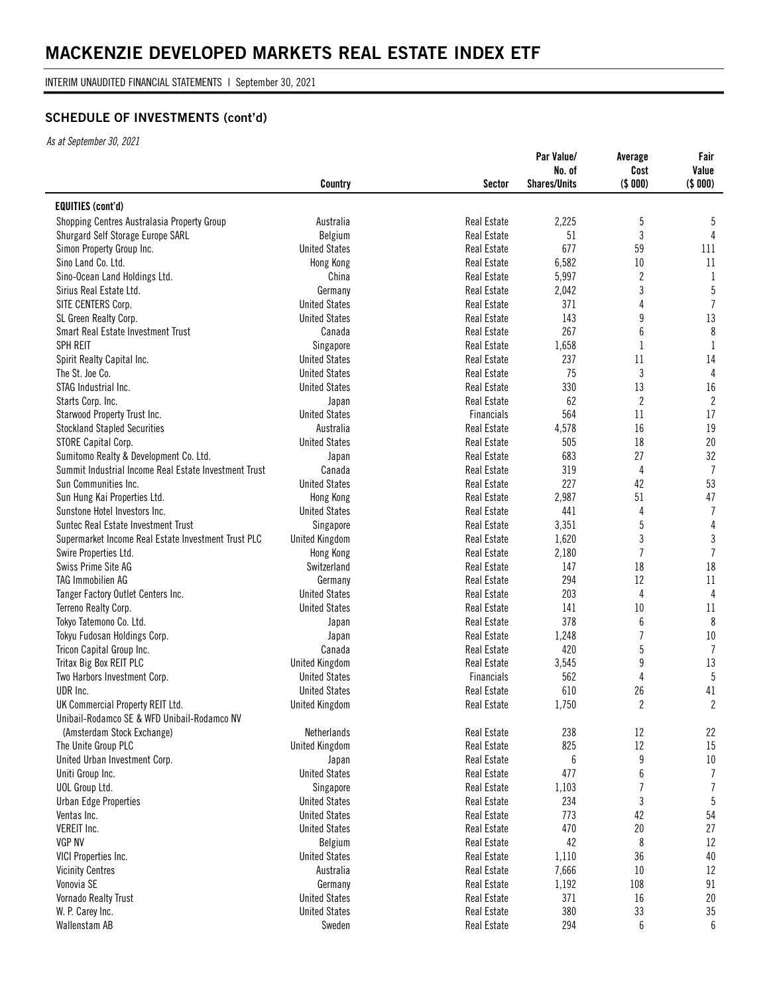INTERIM UNAUDITED FINANCIAL STATEMENTS | September 30, 2021

# **SCHEDULE OF INVESTMENTS (cont'd)**

|                                                       | Country               | <b>Sector</b>      | Par Value/<br>No. of<br><b>Shares/Units</b> | Average<br>Cost<br>(\$000) | Fair<br>Value<br>(\$000) |
|-------------------------------------------------------|-----------------------|--------------------|---------------------------------------------|----------------------------|--------------------------|
| <b>EQUITIES (cont'd)</b>                              |                       |                    |                                             |                            |                          |
| Shopping Centres Australasia Property Group           | Australia             | Real Estate        | 2,225                                       | 5                          | 5                        |
| Shurgard Self Storage Europe SARL                     | Belgium               | Real Estate        | 51                                          | 3                          | 4                        |
| Simon Property Group Inc.                             | <b>United States</b>  | Real Estate        | 677                                         | 59                         | 111                      |
| Sino Land Co. Ltd.                                    | Hong Kong             | <b>Real Estate</b> | 6,582                                       | 10                         | 11                       |
| Sino-Ocean Land Holdings Ltd.                         | China                 | Real Estate        | 5,997                                       | 2                          | -1                       |
| Sirius Real Estate Ltd.                               | Germany               | Real Estate        | 2,042                                       | 3                          | $5\,$                    |
| SITE CENTERS Corp.                                    | <b>United States</b>  | Real Estate        | 371                                         | 4                          | $\overline{1}$           |
| SL Green Realty Corp.                                 | <b>United States</b>  | <b>Real Estate</b> | 143                                         | 9                          | 13                       |
| Smart Real Estate Investment Trust                    | Canada                | Real Estate        | 267                                         | 6                          | $\,8\,$                  |
| <b>SPH REIT</b>                                       | Singapore             | <b>Real Estate</b> | 1,658                                       | 1                          | 1                        |
| Spirit Realty Capital Inc.                            | <b>United States</b>  | Real Estate        | 237                                         | 11                         | 14                       |
| The St. Joe Co.                                       | <b>United States</b>  | Real Estate        | 75                                          | 3                          | $\overline{4}$           |
| STAG Industrial Inc.                                  | <b>United States</b>  | Real Estate        | 330                                         | 13                         | 16                       |
|                                                       |                       | Real Estate        | 62                                          | 2                          | $\overline{2}$           |
| Starts Corp. Inc.                                     | Japan                 |                    |                                             |                            | 17                       |
| Starwood Property Trust Inc.                          | <b>United States</b>  | <b>Financials</b>  | 564                                         | 11                         |                          |
| <b>Stockland Stapled Securities</b>                   | Australia             | Real Estate        | 4,578                                       | 16                         | 19                       |
| STORE Capital Corp.                                   | <b>United States</b>  | Real Estate        | 505                                         | 18                         | 20                       |
| Sumitomo Realty & Development Co. Ltd.                | Japan                 | Real Estate        | 683                                         | 27                         | 32                       |
| Summit Industrial Income Real Estate Investment Trust | Canada                | Real Estate        | 319                                         | 4                          | $\overline{7}$           |
| Sun Communities Inc.                                  | <b>United States</b>  | Real Estate        | 227                                         | 42                         | 53                       |
| Sun Hung Kai Properties Ltd.                          | Hong Kong             | Real Estate        | 2,987                                       | 51                         | 47                       |
| Sunstone Hotel Investors Inc.                         | <b>United States</b>  | <b>Real Estate</b> | 441                                         | 4                          | $\overline{1}$           |
| Suntec Real Estate Investment Trust                   | Singapore             | Real Estate        | 3,351                                       | 5                          | 4                        |
| Supermarket Income Real Estate Investment Trust PLC   | <b>United Kingdom</b> | Real Estate        | 1,620                                       | 3                          | $\mathfrak{Z}$           |
| Swire Properties Ltd.                                 | Hong Kong             | Real Estate        | 2,180                                       | $\overline{1}$             | $\overline{1}$           |
| Swiss Prime Site AG                                   | Switzerland           | Real Estate        | 147                                         | 18                         | 18                       |
| TAG Immobilien AG                                     | Germany               | Real Estate        | 294                                         | 12                         | 11                       |
| Tanger Factory Outlet Centers Inc.                    | <b>United States</b>  | <b>Real Estate</b> | 203                                         | 4                          | 4                        |
| Terreno Realty Corp.                                  | <b>United States</b>  | Real Estate        | 141                                         | 10                         | 11                       |
| Tokyo Tatemono Co. Ltd.                               | Japan                 | <b>Real Estate</b> | 378                                         | 6                          | 8                        |
| Tokyu Fudosan Holdings Corp.                          | Japan                 | Real Estate        | 1,248                                       | $\overline{1}$             | $10\,$                   |
| Tricon Capital Group Inc.                             | Canada                | Real Estate        | 420                                         | 5                          | $\overline{1}$           |
| Tritax Big Box REIT PLC                               | <b>United Kingdom</b> | Real Estate        | 3,545                                       | 9                          | 13                       |
| Two Harbors Investment Corp.                          | <b>United States</b>  | <b>Financials</b>  | 562                                         | 4                          | 5                        |
| UDR Inc.                                              | <b>United States</b>  | Real Estate        | 610                                         | 26                         | 41                       |
| UK Commercial Property REIT Ltd.                      | <b>United Kingdom</b> | Real Estate        | 1,750                                       | $\overline{2}$             | $\overline{2}$           |
| Unibail-Rodamco SE & WFD Unibail-Rodamco NV           |                       |                    |                                             |                            |                          |
| (Amsterdam Stock Exchange)                            | Netherlands           | Real Estate        | 238                                         | 12                         | 22                       |
| The Unite Group PLC                                   | <b>United Kingdom</b> | Real Estate        | 825                                         | $12\,$                     | 15                       |
| United Urban Investment Corp.                         | Japan                 | <b>Real Estate</b> | 6                                           | 9                          | $10\,$                   |
| Uniti Group Inc.                                      | <b>United States</b>  | Real Estate        | 477                                         | $\boldsymbol{6}$           | $\overline{1}$           |
| UOL Group Ltd.                                        | Singapore             | Real Estate        | 1,103                                       | 7                          | $\overline{1}$           |
| <b>Urban Edge Properties</b>                          | <b>United States</b>  | <b>Real Estate</b> | 234                                         | $\sqrt{3}$                 | $5\phantom{.0}$          |
| Ventas Inc.                                           | <b>United States</b>  | Real Estate        | 773                                         | 42                         | 54                       |
| VEREIT Inc.                                           | <b>United States</b>  | Real Estate        | 470                                         | 20                         | 27                       |
| <b>VGP NV</b>                                         | Belgium               | Real Estate        | 42                                          | 8                          | $12\,$                   |
| VICI Properties Inc.                                  | <b>United States</b>  | Real Estate        | 1,110                                       | 36                         | 40                       |
| <b>Vicinity Centres</b>                               | Australia             | Real Estate        | 7,666                                       | $10\,$                     | 12                       |
| Vonovia SE                                            | Germany               | Real Estate        | 1,192                                       | 108                        | 91                       |
| Vornado Realty Trust                                  | <b>United States</b>  | <b>Real Estate</b> | 371                                         | 16                         | 20                       |
| W. P. Carey Inc.                                      | <b>United States</b>  | Real Estate        | 380                                         | 33                         | $35\,$                   |
| Wallenstam AB                                         | Sweden                | Real Estate        | 294                                         | 6                          | 6                        |
|                                                       |                       |                    |                                             |                            |                          |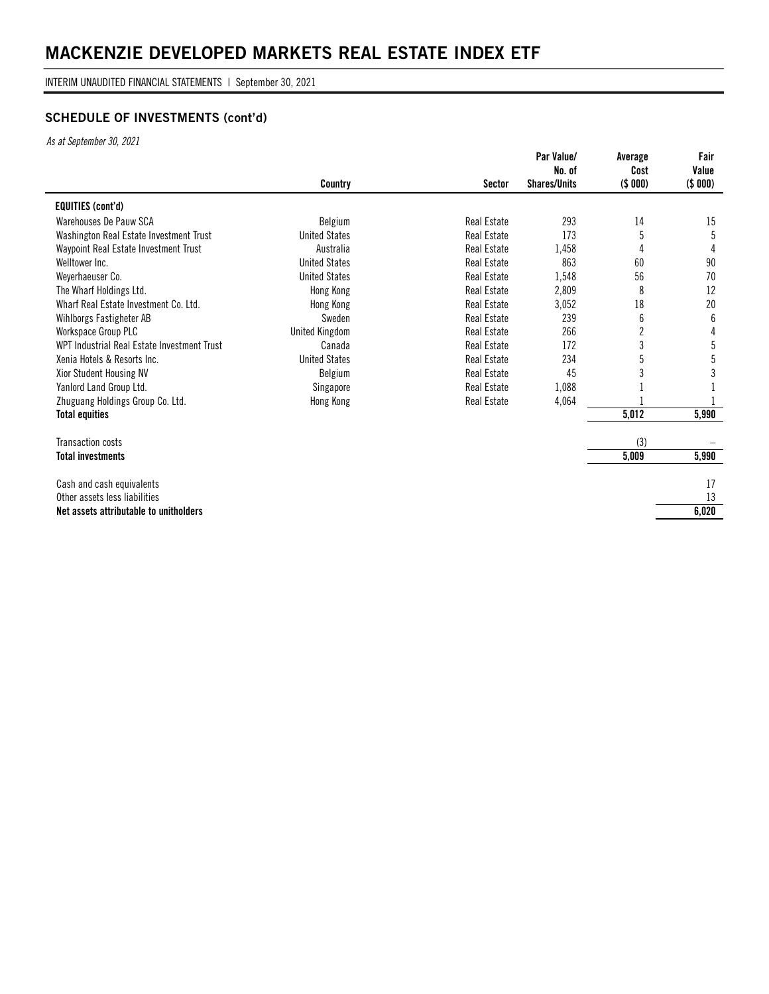INTERIM UNAUDITED FINANCIAL STATEMENTS | September 30, 2021

# **SCHEDULE OF INVESTMENTS (cont'd)**

|                                             |                       |                    | Par Value/<br>No. of | Average<br>Cost | Fair<br>Value |
|---------------------------------------------|-----------------------|--------------------|----------------------|-----------------|---------------|
|                                             | Country               | <b>Sector</b>      | <b>Shares/Units</b>  | (\$000)         | (\$000)       |
| <b>EQUITIES (cont'd)</b>                    |                       |                    |                      |                 |               |
| Warehouses De Pauw SCA                      | Belgium               | <b>Real Estate</b> | 293                  | 14              | 15            |
| Washington Real Estate Investment Trust     | <b>United States</b>  | Real Estate        | 173                  | 5               | 5             |
| Waypoint Real Estate Investment Trust       | Australia             | <b>Real Estate</b> | 1,458                |                 |               |
| Welltower Inc.                              | <b>United States</b>  | <b>Real Estate</b> | 863                  | 60              | 90            |
| Weyerhaeuser Co.                            | <b>United States</b>  | <b>Real Estate</b> | 1,548                | 56              | 70            |
| The Wharf Holdings Ltd.                     | Hong Kong             | <b>Real Estate</b> | 2,809                | 8               | 12            |
| Wharf Real Estate Investment Co. Ltd.       | Hong Kong             | <b>Real Estate</b> | 3,052                | 18              | 20            |
| Wihlborgs Fastigheter AB                    | Sweden                | <b>Real Estate</b> | 239                  | 6               | 6             |
| Workspace Group PLC                         | <b>United Kingdom</b> | <b>Real Estate</b> | 266                  | 2               | 4             |
| WPT Industrial Real Estate Investment Trust | Canada                | <b>Real Estate</b> | 172                  | 3               | 5             |
| Xenia Hotels & Resorts Inc.                 | <b>United States</b>  | Real Estate        | 234                  |                 | 5             |
| Xior Student Housing NV                     | Belgium               | <b>Real Estate</b> | 45                   |                 |               |
| Yanlord Land Group Ltd.                     | Singapore             | <b>Real Estate</b> | 1,088                |                 |               |
| Zhuguang Holdings Group Co. Ltd.            | Hong Kong             | Real Estate        | 4,064                |                 |               |
| <b>Total equities</b>                       |                       |                    |                      | 5,012           | 5,990         |
| <b>Transaction costs</b>                    |                       |                    |                      | (3)             |               |
| <b>Total investments</b>                    |                       |                    |                      | 5,009           | 5,990         |
| Cash and cash equivalents                   |                       |                    |                      |                 | 17            |
| Other assets less liabilities               |                       |                    |                      |                 | 13            |
| Net assets attributable to unitholders      |                       |                    |                      |                 | 6,020         |
|                                             |                       |                    |                      |                 |               |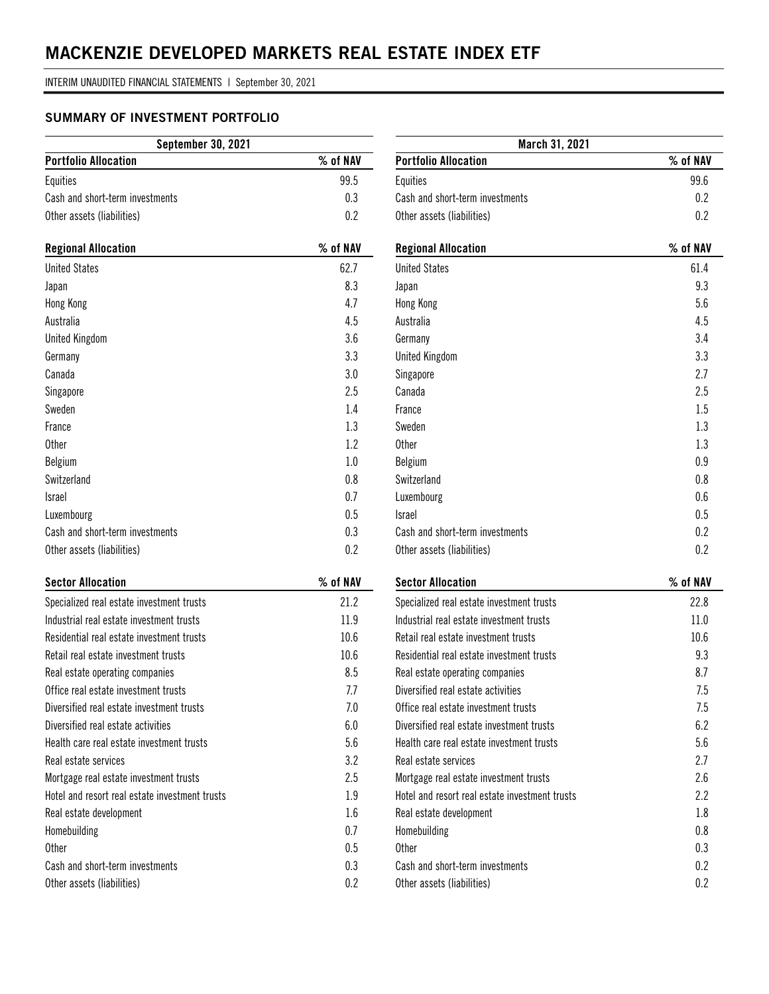### **SUMMARY OF INVESTMENT PORTFOLIO**

| <b>September 30, 2021</b>       |          |  |  |  |
|---------------------------------|----------|--|--|--|
| <b>Portfolio Allocation</b>     | % of NAV |  |  |  |
| Equities                        | 99.5     |  |  |  |
| Cash and short-term investments | 0.3      |  |  |  |
| Other assets (liabilities)      | በ 2      |  |  |  |

| <b>Regional Allocation</b>      | % of NAV |
|---------------------------------|----------|
| <b>United States</b>            | 62.7     |
| Japan                           | 8.3      |
| Hong Kong                       | 4.7      |
| Australia                       | 4.5      |
| <b>United Kingdom</b>           | 3.6      |
| Germany                         | 3.3      |
| Canada                          | 3.0      |
| Singapore                       | 2.5      |
| Sweden                          | 1.4      |
| France                          | 1.3      |
| <b>Other</b>                    | 1.2      |
| Belgium                         | 1.0      |
| Switzerland                     | 0.8      |
| <b>Israel</b>                   | 0.7      |
| Luxembourg                      | 0.5      |
| Cash and short-term investments | 0.3      |
| Other assets (liabilities)      | 0.2      |

| <b>Sector Allocation</b>                       | $\%$ of NAV |
|------------------------------------------------|-------------|
| Specialized real estate investment trusts      | 21.2        |
| Industrial real estate investment trusts       | 11.9        |
| Residential real estate investment trusts      | 10.6        |
| Retail real estate investment trusts           | 10.6        |
| Real estate operating companies                | 8.5         |
| Office real estate investment trusts           | 7.7         |
| Diversified real estate investment trusts      | 7.0         |
| Diversified real estate activities             | 6.0         |
| Health care real estate investment trusts      | 5.6         |
| Real estate services                           | 3.2         |
| Mortgage real estate investment trusts         | 2.5         |
| Hotel and resort real estate investment trusts | 1.9         |
| Real estate development                        | 1.6         |
| Homebuilding                                   | 0.7         |
| <b>Other</b>                                   | 0.5         |
| Cash and short-term investments                | 0.3         |
| Other assets (liabilities)                     | 0.2         |

| March 31, 2021                                 |          |  |  |
|------------------------------------------------|----------|--|--|
| <b>Portfolio Allocation</b>                    | % of NAV |  |  |
| Equities                                       | 99.6     |  |  |
| Cash and short-term investments                | 0.2      |  |  |
| Other assets (liabilities)                     | 0.2      |  |  |
|                                                |          |  |  |
| <b>Regional Allocation</b>                     | % of NAV |  |  |
| <b>United States</b>                           | 61.4     |  |  |
| Japan                                          | 9.3      |  |  |
| Hong Kong                                      | 5.6      |  |  |
| Australia                                      | 4.5      |  |  |
| Germany                                        | 3.4      |  |  |
| <b>United Kingdom</b>                          | 3.3      |  |  |
| Singapore                                      | 2.7      |  |  |
| Canada                                         | 2.5      |  |  |
| France                                         | 1.5      |  |  |
| Sweden                                         | 1.3      |  |  |
| <b>Other</b>                                   | 1.3      |  |  |
| Belgium                                        | 0.9      |  |  |
| Switzerland                                    | 0.8      |  |  |
| Luxembourg                                     | 0.6      |  |  |
| <b>Israel</b>                                  | 0.5      |  |  |
| Cash and short-term investments                | 0.2      |  |  |
| Other assets (liabilities)                     | 0.2      |  |  |
|                                                |          |  |  |
| <b>Sector Allocation</b>                       | % of NAV |  |  |
| Specialized real estate investment trusts      | 22.8     |  |  |
| Industrial real estate investment trusts       | 11.0     |  |  |
| Retail real estate investment trusts           | 10.6     |  |  |
| Residential real estate investment trusts      | 9.3      |  |  |
| Real estate operating companies                | 8.7      |  |  |
| Diversified real estate activities             | 7.5      |  |  |
| Office real estate investment trusts           | 7.5      |  |  |
| Diversified real estate investment trusts      | 6.2      |  |  |
| Health care real estate investment trusts      | 5.6      |  |  |
| Real estate services                           | 2.7      |  |  |
| Mortgage real estate investment trusts         | 2.6      |  |  |
| Hotel and resort real estate investment trusts | 2.2      |  |  |
| Real estate development                        | 1.8      |  |  |
| Homehuilding                                   | 0.8      |  |  |

Homebuilding 0.8 Other 0.3 Cash and short-term investments 0.2 Other assets (liabilities) 0.2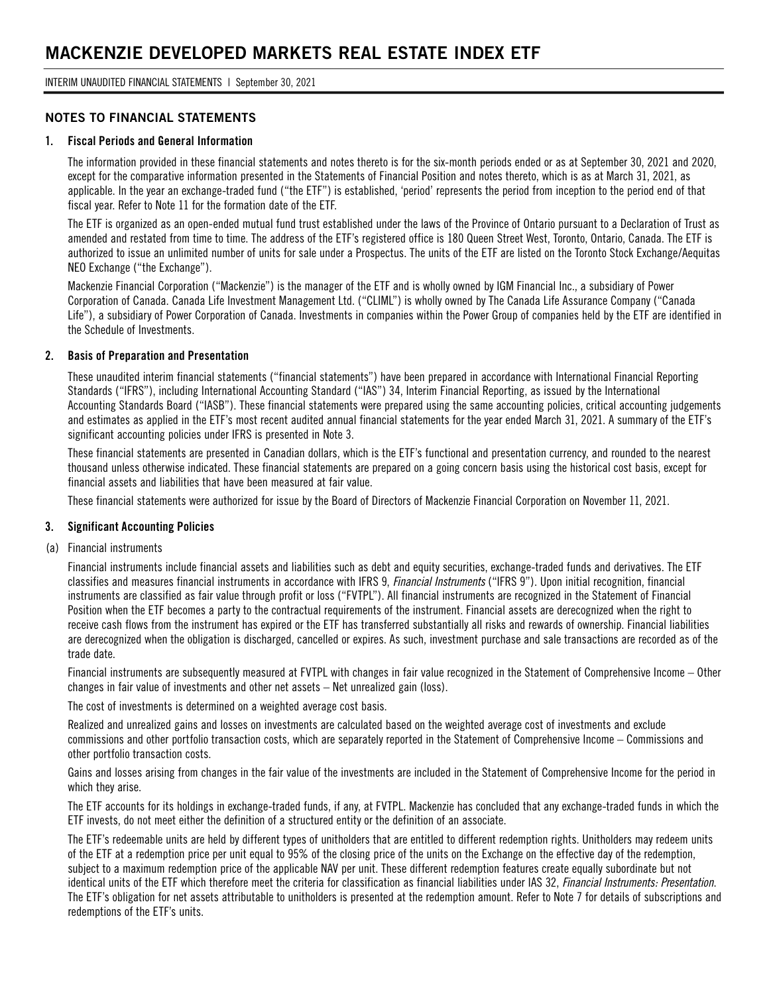INTERIM UNAUDITED FINANCIAL STATEMENTS | September 30, 2021

#### **NOTES TO FINANCIAL STATEMENTS**

#### **1. Fiscal Periods and General Information**

The information provided in these financial statements and notes thereto is for the six-month periods ended or as at September 30, 2021 and 2020, except for the comparative information presented in the Statements of Financial Position and notes thereto, which is as at March 31, 2021, as applicable. In the year an exchange-traded fund ("the ETF") is established, 'period' represents the period from inception to the period end of that fiscal year. Refer to Note 11 for the formation date of the ETF.

The ETF is organized as an open-ended mutual fund trust established under the laws of the Province of Ontario pursuant to a Declaration of Trust as amended and restated from time to time. The address of the ETF's registered office is 180 Queen Street West, Toronto, Ontario, Canada. The ETF is authorized to issue an unlimited number of units for sale under a Prospectus. The units of the ETF are listed on the Toronto Stock Exchange/Aequitas NEO Exchange ("the Exchange").

Mackenzie Financial Corporation ("Mackenzie") is the manager of the ETF and is wholly owned by IGM Financial Inc., a subsidiary of Power Corporation of Canada. Canada Life Investment Management Ltd. ("CLIML") is wholly owned by The Canada Life Assurance Company ("Canada Life"), a subsidiary of Power Corporation of Canada. Investments in companies within the Power Group of companies held by the ETF are identified in the Schedule of Investments.

#### **2. Basis of Preparation and Presentation**

These unaudited interim financial statements ("financial statements") have been prepared in accordance with International Financial Reporting Standards ("IFRS"), including International Accounting Standard ("IAS") 34, Interim Financial Reporting, as issued by the International Accounting Standards Board ("IASB"). These financial statements were prepared using the same accounting policies, critical accounting judgements and estimates as applied in the ETF's most recent audited annual financial statements for the year ended March 31, 2021. A summary of the ETF's significant accounting policies under IFRS is presented in Note 3.

These financial statements are presented in Canadian dollars, which is the ETF's functional and presentation currency, and rounded to the nearest thousand unless otherwise indicated. These financial statements are prepared on a going concern basis using the historical cost basis, except for financial assets and liabilities that have been measured at fair value.

These financial statements were authorized for issue by the Board of Directors of Mackenzie Financial Corporation on November 11, 2021.

#### **3. Significant Accounting Policies**

(a) Financial instruments

Financial instruments include financial assets and liabilities such as debt and equity securities, exchange-traded funds and derivatives. The ETF classifies and measures financial instruments in accordance with IFRS 9, *Financial Instruments* ("IFRS 9"). Upon initial recognition, financial instruments are classified as fair value through profit or loss ("FVTPL"). All financial instruments are recognized in the Statement of Financial Position when the ETF becomes a party to the contractual requirements of the instrument. Financial assets are derecognized when the right to receive cash flows from the instrument has expired or the ETF has transferred substantially all risks and rewards of ownership. Financial liabilities are derecognized when the obligation is discharged, cancelled or expires. As such, investment purchase and sale transactions are recorded as of the trade date.

Financial instruments are subsequently measured at FVTPL with changes in fair value recognized in the Statement of Comprehensive Income – Other changes in fair value of investments and other net assets – Net unrealized gain (loss).

The cost of investments is determined on a weighted average cost basis.

Realized and unrealized gains and losses on investments are calculated based on the weighted average cost of investments and exclude commissions and other portfolio transaction costs, which are separately reported in the Statement of Comprehensive Income – Commissions and other portfolio transaction costs.

Gains and losses arising from changes in the fair value of the investments are included in the Statement of Comprehensive Income for the period in which they arise.

The ETF accounts for its holdings in exchange-traded funds, if any, at FVTPL. Mackenzie has concluded that any exchange-traded funds in which the ETF invests, do not meet either the definition of a structured entity or the definition of an associate.

The ETF's redeemable units are held by different types of unitholders that are entitled to different redemption rights. Unitholders may redeem units of the ETF at a redemption price per unit equal to 95% of the closing price of the units on the Exchange on the effective day of the redemption, subject to a maximum redemption price of the applicable NAV per unit. These different redemption features create equally subordinate but not identical units of the ETF which therefore meet the criteria for classification as financial liabilities under IAS 32, *Financial Instruments: Presentation*. The ETF's obligation for net assets attributable to unitholders is presented at the redemption amount. Refer to Note 7 for details of subscriptions and redemptions of the ETF's units.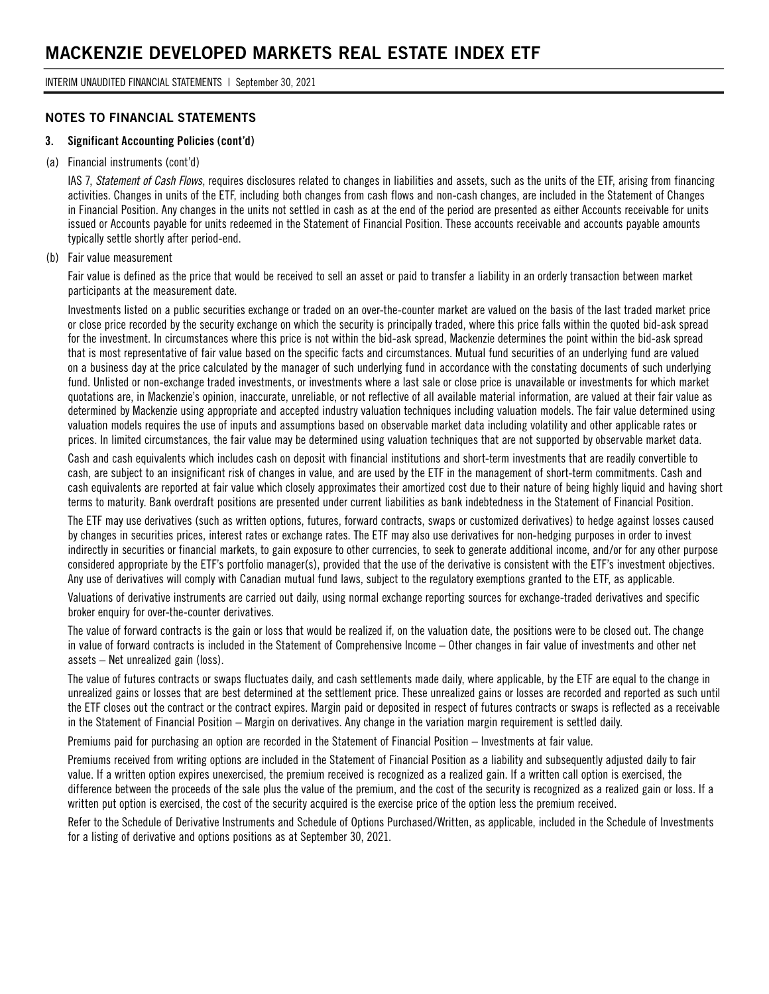### **NOTES TO FINANCIAL STATEMENTS**

#### **3. Significant Accounting Policies (cont'd)**

#### (a) Financial instruments (cont'd)

IAS 7, *Statement of Cash Flows*, requires disclosures related to changes in liabilities and assets, such as the units of the ETF, arising from financing activities. Changes in units of the ETF, including both changes from cash flows and non-cash changes, are included in the Statement of Changes in Financial Position. Any changes in the units not settled in cash as at the end of the period are presented as either Accounts receivable for units issued or Accounts payable for units redeemed in the Statement of Financial Position. These accounts receivable and accounts payable amounts typically settle shortly after period-end.

#### (b) Fair value measurement

Fair value is defined as the price that would be received to sell an asset or paid to transfer a liability in an orderly transaction between market participants at the measurement date.

Investments listed on a public securities exchange or traded on an over-the-counter market are valued on the basis of the last traded market price or close price recorded by the security exchange on which the security is principally traded, where this price falls within the quoted bid-ask spread for the investment. In circumstances where this price is not within the bid-ask spread, Mackenzie determines the point within the bid-ask spread that is most representative of fair value based on the specific facts and circumstances. Mutual fund securities of an underlying fund are valued on a business day at the price calculated by the manager of such underlying fund in accordance with the constating documents of such underlying fund. Unlisted or non-exchange traded investments, or investments where a last sale or close price is unavailable or investments for which market quotations are, in Mackenzie's opinion, inaccurate, unreliable, or not reflective of all available material information, are valued at their fair value as determined by Mackenzie using appropriate and accepted industry valuation techniques including valuation models. The fair value determined using valuation models requires the use of inputs and assumptions based on observable market data including volatility and other applicable rates or prices. In limited circumstances, the fair value may be determined using valuation techniques that are not supported by observable market data.

Cash and cash equivalents which includes cash on deposit with financial institutions and short-term investments that are readily convertible to cash, are subject to an insignificant risk of changes in value, and are used by the ETF in the management of short-term commitments. Cash and cash equivalents are reported at fair value which closely approximates their amortized cost due to their nature of being highly liquid and having short terms to maturity. Bank overdraft positions are presented under current liabilities as bank indebtedness in the Statement of Financial Position.

The ETF may use derivatives (such as written options, futures, forward contracts, swaps or customized derivatives) to hedge against losses caused by changes in securities prices, interest rates or exchange rates. The ETF may also use derivatives for non-hedging purposes in order to invest indirectly in securities or financial markets, to gain exposure to other currencies, to seek to generate additional income, and/or for any other purpose considered appropriate by the ETF's portfolio manager(s), provided that the use of the derivative is consistent with the ETF's investment objectives. Any use of derivatives will comply with Canadian mutual fund laws, subject to the regulatory exemptions granted to the ETF, as applicable.

Valuations of derivative instruments are carried out daily, using normal exchange reporting sources for exchange-traded derivatives and specific broker enquiry for over-the-counter derivatives.

The value of forward contracts is the gain or loss that would be realized if, on the valuation date, the positions were to be closed out. The change in value of forward contracts is included in the Statement of Comprehensive Income – Other changes in fair value of investments and other net assets – Net unrealized gain (loss).

The value of futures contracts or swaps fluctuates daily, and cash settlements made daily, where applicable, by the ETF are equal to the change in unrealized gains or losses that are best determined at the settlement price. These unrealized gains or losses are recorded and reported as such until the ETF closes out the contract or the contract expires. Margin paid or deposited in respect of futures contracts or swaps is reflected as a receivable in the Statement of Financial Position – Margin on derivatives. Any change in the variation margin requirement is settled daily.

Premiums paid for purchasing an option are recorded in the Statement of Financial Position – Investments at fair value.

Premiums received from writing options are included in the Statement of Financial Position as a liability and subsequently adjusted daily to fair value. If a written option expires unexercised, the premium received is recognized as a realized gain. If a written call option is exercised, the difference between the proceeds of the sale plus the value of the premium, and the cost of the security is recognized as a realized gain or loss. If a written put option is exercised, the cost of the security acquired is the exercise price of the option less the premium received.

Refer to the Schedule of Derivative Instruments and Schedule of Options Purchased/Written, as applicable, included in the Schedule of Investments for a listing of derivative and options positions as at September 30, 2021.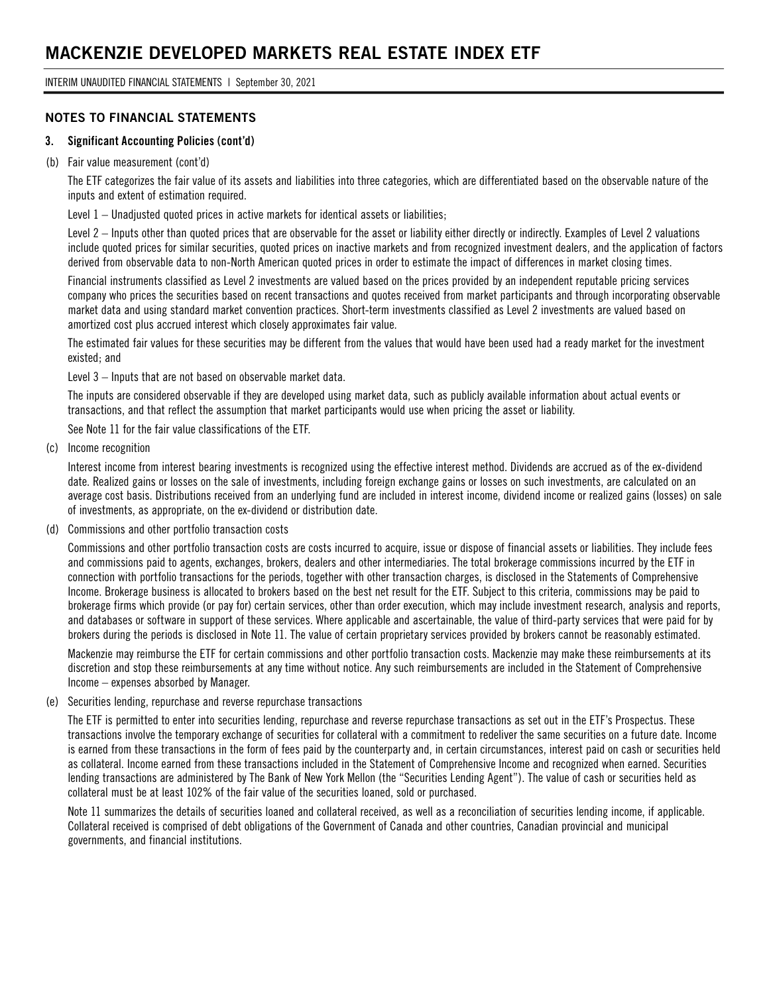INTERIM UNAUDITED FINANCIAL STATEMENTS | September 30, 2021

### **NOTES TO FINANCIAL STATEMENTS**

#### **3. Significant Accounting Policies (cont'd)**

#### (b) Fair value measurement (cont'd)

The ETF categorizes the fair value of its assets and liabilities into three categories, which are differentiated based on the observable nature of the inputs and extent of estimation required.

Level 1 – Unadjusted quoted prices in active markets for identical assets or liabilities;

Level 2 – Inputs other than quoted prices that are observable for the asset or liability either directly or indirectly. Examples of Level 2 valuations include quoted prices for similar securities, quoted prices on inactive markets and from recognized investment dealers, and the application of factors derived from observable data to non-North American quoted prices in order to estimate the impact of differences in market closing times.

Financial instruments classified as Level 2 investments are valued based on the prices provided by an independent reputable pricing services company who prices the securities based on recent transactions and quotes received from market participants and through incorporating observable market data and using standard market convention practices. Short-term investments classified as Level 2 investments are valued based on amortized cost plus accrued interest which closely approximates fair value.

The estimated fair values for these securities may be different from the values that would have been used had a ready market for the investment existed; and

Level 3 – Inputs that are not based on observable market data.

The inputs are considered observable if they are developed using market data, such as publicly available information about actual events or transactions, and that reflect the assumption that market participants would use when pricing the asset or liability.

See Note 11 for the fair value classifications of the ETF.

(c) Income recognition

Interest income from interest bearing investments is recognized using the effective interest method. Dividends are accrued as of the ex-dividend date. Realized gains or losses on the sale of investments, including foreign exchange gains or losses on such investments, are calculated on an average cost basis. Distributions received from an underlying fund are included in interest income, dividend income or realized gains (losses) on sale of investments, as appropriate, on the ex-dividend or distribution date.

(d) Commissions and other portfolio transaction costs

Commissions and other portfolio transaction costs are costs incurred to acquire, issue or dispose of financial assets or liabilities. They include fees and commissions paid to agents, exchanges, brokers, dealers and other intermediaries. The total brokerage commissions incurred by the ETF in connection with portfolio transactions for the periods, together with other transaction charges, is disclosed in the Statements of Comprehensive Income. Brokerage business is allocated to brokers based on the best net result for the ETF. Subject to this criteria, commissions may be paid to brokerage firms which provide (or pay for) certain services, other than order execution, which may include investment research, analysis and reports, and databases or software in support of these services. Where applicable and ascertainable, the value of third-party services that were paid for by brokers during the periods is disclosed in Note 11. The value of certain proprietary services provided by brokers cannot be reasonably estimated.

Mackenzie may reimburse the ETF for certain commissions and other portfolio transaction costs. Mackenzie may make these reimbursements at its discretion and stop these reimbursements at any time without notice. Any such reimbursements are included in the Statement of Comprehensive Income – expenses absorbed by Manager.

#### (e) Securities lending, repurchase and reverse repurchase transactions

The ETF is permitted to enter into securities lending, repurchase and reverse repurchase transactions as set out in the ETF's Prospectus. These transactions involve the temporary exchange of securities for collateral with a commitment to redeliver the same securities on a future date. Income is earned from these transactions in the form of fees paid by the counterparty and, in certain circumstances, interest paid on cash or securities held as collateral. Income earned from these transactions included in the Statement of Comprehensive Income and recognized when earned. Securities lending transactions are administered by The Bank of New York Mellon (the "Securities Lending Agent"). The value of cash or securities held as collateral must be at least 102% of the fair value of the securities loaned, sold or purchased.

Note 11 summarizes the details of securities loaned and collateral received, as well as a reconciliation of securities lending income, if applicable. Collateral received is comprised of debt obligations of the Government of Canada and other countries, Canadian provincial and municipal governments, and financial institutions.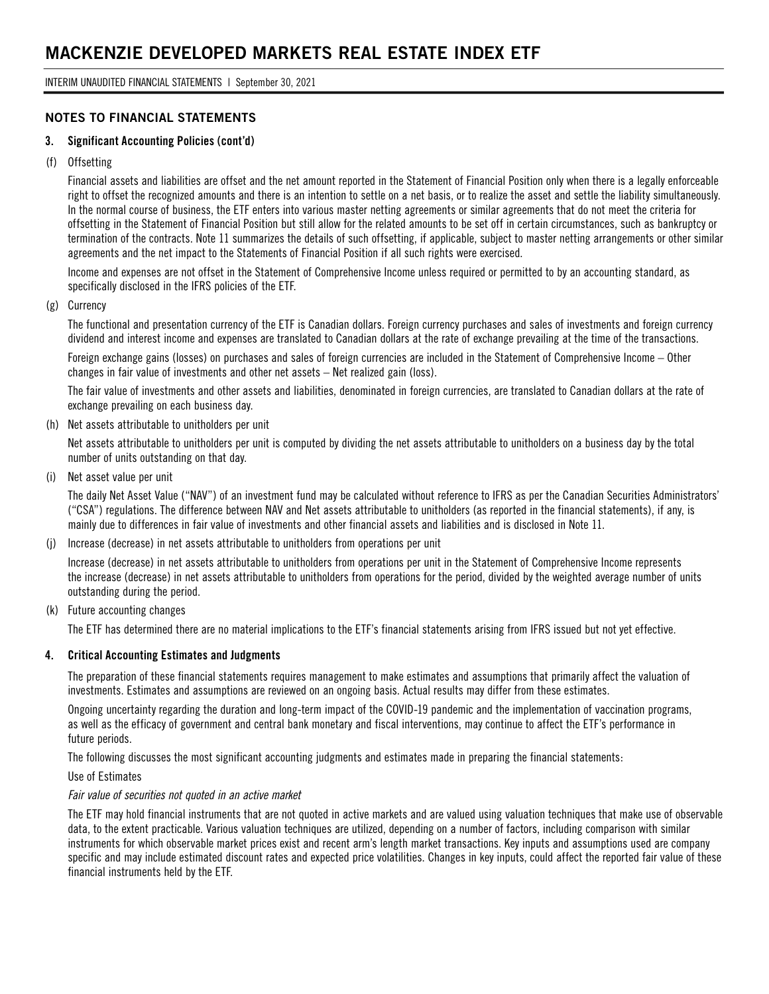### **NOTES TO FINANCIAL STATEMENTS**

#### **3. Significant Accounting Policies (cont'd)**

#### (f) Offsetting

Financial assets and liabilities are offset and the net amount reported in the Statement of Financial Position only when there is a legally enforceable right to offset the recognized amounts and there is an intention to settle on a net basis, or to realize the asset and settle the liability simultaneously. In the normal course of business, the ETF enters into various master netting agreements or similar agreements that do not meet the criteria for offsetting in the Statement of Financial Position but still allow for the related amounts to be set off in certain circumstances, such as bankruptcy or termination of the contracts. Note 11 summarizes the details of such offsetting, if applicable, subject to master netting arrangements or other similar agreements and the net impact to the Statements of Financial Position if all such rights were exercised.

Income and expenses are not offset in the Statement of Comprehensive Income unless required or permitted to by an accounting standard, as specifically disclosed in the IFRS policies of the ETF.

#### (g) Currency

The functional and presentation currency of the ETF is Canadian dollars. Foreign currency purchases and sales of investments and foreign currency dividend and interest income and expenses are translated to Canadian dollars at the rate of exchange prevailing at the time of the transactions.

Foreign exchange gains (losses) on purchases and sales of foreign currencies are included in the Statement of Comprehensive Income – Other changes in fair value of investments and other net assets – Net realized gain (loss).

The fair value of investments and other assets and liabilities, denominated in foreign currencies, are translated to Canadian dollars at the rate of exchange prevailing on each business day.

(h) Net assets attributable to unitholders per unit

Net assets attributable to unitholders per unit is computed by dividing the net assets attributable to unitholders on a business day by the total number of units outstanding on that day.

(i) Net asset value per unit

The daily Net Asset Value ("NAV") of an investment fund may be calculated without reference to IFRS as per the Canadian Securities Administrators' ("CSA") regulations. The difference between NAV and Net assets attributable to unitholders (as reported in the financial statements), if any, is mainly due to differences in fair value of investments and other financial assets and liabilities and is disclosed in Note 11.

(j) Increase (decrease) in net assets attributable to unitholders from operations per unit

Increase (decrease) in net assets attributable to unitholders from operations per unit in the Statement of Comprehensive Income represents the increase (decrease) in net assets attributable to unitholders from operations for the period, divided by the weighted average number of units outstanding during the period.

(k) Future accounting changes

The ETF has determined there are no material implications to the ETF's financial statements arising from IFRS issued but not yet effective.

#### **4. Critical Accounting Estimates and Judgments**

The preparation of these financial statements requires management to make estimates and assumptions that primarily affect the valuation of investments. Estimates and assumptions are reviewed on an ongoing basis. Actual results may differ from these estimates.

Ongoing uncertainty regarding the duration and long-term impact of the COVID-19 pandemic and the implementation of vaccination programs, as well as the efficacy of government and central bank monetary and fiscal interventions, may continue to affect the ETF's performance in future periods.

The following discusses the most significant accounting judgments and estimates made in preparing the financial statements:

Use of Estimates

#### *Fair value of securities not quoted in an active market*

The ETF may hold financial instruments that are not quoted in active markets and are valued using valuation techniques that make use of observable data, to the extent practicable. Various valuation techniques are utilized, depending on a number of factors, including comparison with similar instruments for which observable market prices exist and recent arm's length market transactions. Key inputs and assumptions used are company specific and may include estimated discount rates and expected price volatilities. Changes in key inputs, could affect the reported fair value of these financial instruments held by the ETF.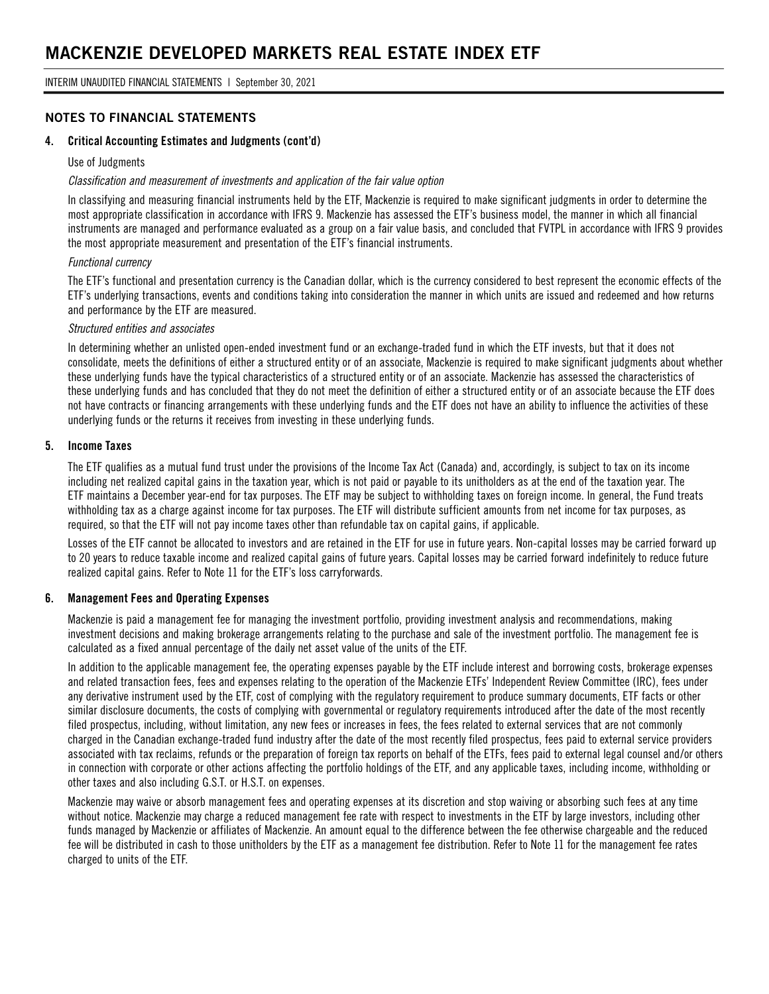### **NOTES TO FINANCIAL STATEMENTS**

#### **4. Critical Accounting Estimates and Judgments (cont'd)**

#### Use of Judgments

#### *Classification and measurement of investments and application of the fair value option*

In classifying and measuring financial instruments held by the ETF, Mackenzie is required to make significant judgments in order to determine the most appropriate classification in accordance with IFRS 9. Mackenzie has assessed the ETF's business model, the manner in which all financial instruments are managed and performance evaluated as a group on a fair value basis, and concluded that FVTPL in accordance with IFRS 9 provides the most appropriate measurement and presentation of the ETF's financial instruments.

#### *Functional currency*

The ETF's functional and presentation currency is the Canadian dollar, which is the currency considered to best represent the economic effects of the ETF's underlying transactions, events and conditions taking into consideration the manner in which units are issued and redeemed and how returns and performance by the ETF are measured.

#### *Structured entities and associates*

In determining whether an unlisted open-ended investment fund or an exchange-traded fund in which the ETF invests, but that it does not consolidate, meets the definitions of either a structured entity or of an associate, Mackenzie is required to make significant judgments about whether these underlying funds have the typical characteristics of a structured entity or of an associate. Mackenzie has assessed the characteristics of these underlying funds and has concluded that they do not meet the definition of either a structured entity or of an associate because the ETF does not have contracts or financing arrangements with these underlying funds and the ETF does not have an ability to influence the activities of these underlying funds or the returns it receives from investing in these underlying funds.

#### **5. Income Taxes**

The ETF qualifies as a mutual fund trust under the provisions of the Income Tax Act (Canada) and, accordingly, is subject to tax on its income including net realized capital gains in the taxation year, which is not paid or payable to its unitholders as at the end of the taxation year. The ETF maintains a December year-end for tax purposes. The ETF may be subject to withholding taxes on foreign income. In general, the Fund treats withholding tax as a charge against income for tax purposes. The ETF will distribute sufficient amounts from net income for tax purposes, as required, so that the ETF will not pay income taxes other than refundable tax on capital gains, if applicable.

Losses of the ETF cannot be allocated to investors and are retained in the ETF for use in future years. Non-capital losses may be carried forward up to 20 years to reduce taxable income and realized capital gains of future years. Capital losses may be carried forward indefinitely to reduce future realized capital gains. Refer to Note 11 for the ETF's loss carryforwards.

#### **6. Management Fees and Operating Expenses**

Mackenzie is paid a management fee for managing the investment portfolio, providing investment analysis and recommendations, making investment decisions and making brokerage arrangements relating to the purchase and sale of the investment portfolio. The management fee is calculated as a fixed annual percentage of the daily net asset value of the units of the ETF.

In addition to the applicable management fee, the operating expenses payable by the ETF include interest and borrowing costs, brokerage expenses and related transaction fees, fees and expenses relating to the operation of the Mackenzie ETFs' Independent Review Committee (IRC), fees under any derivative instrument used by the ETF, cost of complying with the regulatory requirement to produce summary documents, ETF facts or other similar disclosure documents, the costs of complying with governmental or regulatory requirements introduced after the date of the most recently filed prospectus, including, without limitation, any new fees or increases in fees, the fees related to external services that are not commonly charged in the Canadian exchange-traded fund industry after the date of the most recently filed prospectus, fees paid to external service providers associated with tax reclaims, refunds or the preparation of foreign tax reports on behalf of the ETFs, fees paid to external legal counsel and/or others in connection with corporate or other actions affecting the portfolio holdings of the ETF, and any applicable taxes, including income, withholding or other taxes and also including G.S.T. or H.S.T. on expenses.

Mackenzie may waive or absorb management fees and operating expenses at its discretion and stop waiving or absorbing such fees at any time without notice. Mackenzie may charge a reduced management fee rate with respect to investments in the ETF by large investors, including other funds managed by Mackenzie or affiliates of Mackenzie. An amount equal to the difference between the fee otherwise chargeable and the reduced fee will be distributed in cash to those unitholders by the ETF as a management fee distribution. Refer to Note 11 for the management fee rates charged to units of the ETF.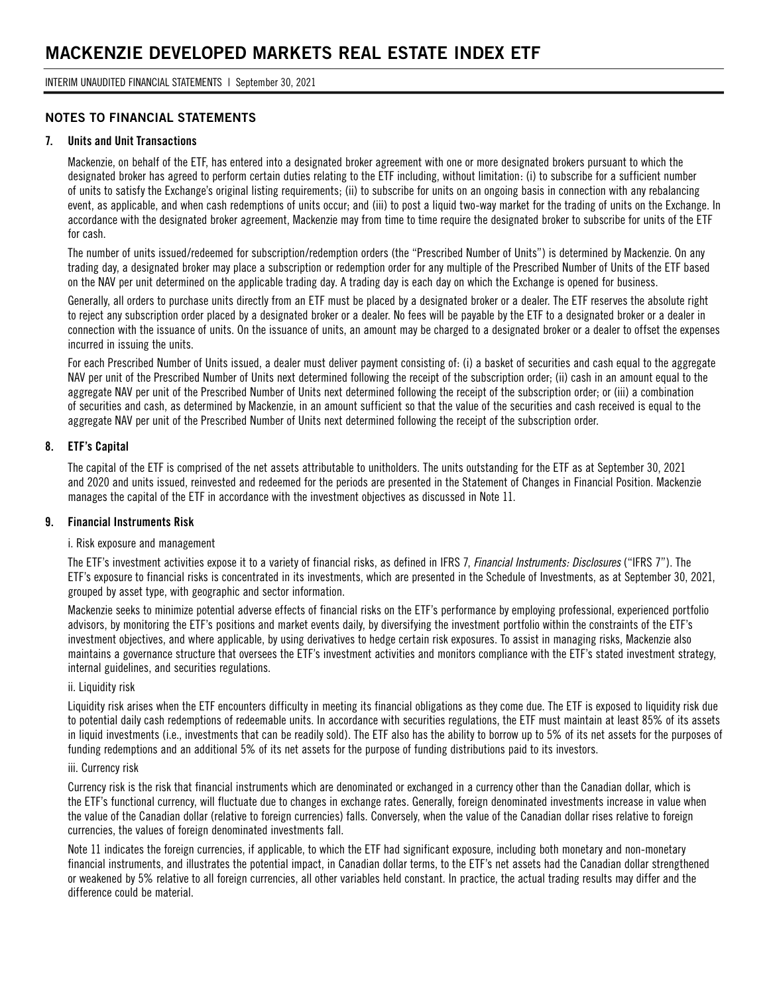INTERIM UNAUDITED FINANCIAL STATEMENTS | September 30, 2021

### **NOTES TO FINANCIAL STATEMENTS**

#### **7. Units and Unit Transactions**

Mackenzie, on behalf of the ETF, has entered into a designated broker agreement with one or more designated brokers pursuant to which the designated broker has agreed to perform certain duties relating to the ETF including, without limitation: (i) to subscribe for a sufficient number of units to satisfy the Exchange's original listing requirements; (ii) to subscribe for units on an ongoing basis in connection with any rebalancing event, as applicable, and when cash redemptions of units occur; and (iii) to post a liquid two-way market for the trading of units on the Exchange. In accordance with the designated broker agreement, Mackenzie may from time to time require the designated broker to subscribe for units of the ETF for cash.

The number of units issued/redeemed for subscription/redemption orders (the "Prescribed Number of Units") is determined by Mackenzie. On any trading day, a designated broker may place a subscription or redemption order for any multiple of the Prescribed Number of Units of the ETF based on the NAV per unit determined on the applicable trading day. A trading day is each day on which the Exchange is opened for business.

Generally, all orders to purchase units directly from an ETF must be placed by a designated broker or a dealer. The ETF reserves the absolute right to reject any subscription order placed by a designated broker or a dealer. No fees will be payable by the ETF to a designated broker or a dealer in connection with the issuance of units. On the issuance of units, an amount may be charged to a designated broker or a dealer to offset the expenses incurred in issuing the units.

For each Prescribed Number of Units issued, a dealer must deliver payment consisting of: (i) a basket of securities and cash equal to the aggregate NAV per unit of the Prescribed Number of Units next determined following the receipt of the subscription order; (ii) cash in an amount equal to the aggregate NAV per unit of the Prescribed Number of Units next determined following the receipt of the subscription order; or (iii) a combination of securities and cash, as determined by Mackenzie, in an amount sufficient so that the value of the securities and cash received is equal to the aggregate NAV per unit of the Prescribed Number of Units next determined following the receipt of the subscription order.

#### **8. ETF's Capital**

The capital of the ETF is comprised of the net assets attributable to unitholders. The units outstanding for the ETF as at September 30, 2021 and 2020 and units issued, reinvested and redeemed for the periods are presented in the Statement of Changes in Financial Position. Mackenzie manages the capital of the ETF in accordance with the investment objectives as discussed in Note 11.

#### **9. Financial Instruments Risk**

#### i. Risk exposure and management

The ETF's investment activities expose it to a variety of financial risks, as defined in IFRS 7, *Financial Instruments: Disclosures* ("IFRS 7"). The ETF's exposure to financial risks is concentrated in its investments, which are presented in the Schedule of Investments, as at September 30, 2021, grouped by asset type, with geographic and sector information.

Mackenzie seeks to minimize potential adverse effects of financial risks on the ETF's performance by employing professional, experienced portfolio advisors, by monitoring the ETF's positions and market events daily, by diversifying the investment portfolio within the constraints of the ETF's investment objectives, and where applicable, by using derivatives to hedge certain risk exposures. To assist in managing risks, Mackenzie also maintains a governance structure that oversees the ETF's investment activities and monitors compliance with the ETF's stated investment strategy, internal guidelines, and securities regulations.

#### ii. Liquidity risk

Liquidity risk arises when the ETF encounters difficulty in meeting its financial obligations as they come due. The ETF is exposed to liquidity risk due to potential daily cash redemptions of redeemable units. In accordance with securities regulations, the ETF must maintain at least 85% of its assets in liquid investments (i.e., investments that can be readily sold). The ETF also has the ability to borrow up to 5% of its net assets for the purposes of funding redemptions and an additional 5% of its net assets for the purpose of funding distributions paid to its investors.

#### iii. Currency risk

Currency risk is the risk that financial instruments which are denominated or exchanged in a currency other than the Canadian dollar, which is the ETF's functional currency, will fluctuate due to changes in exchange rates. Generally, foreign denominated investments increase in value when the value of the Canadian dollar (relative to foreign currencies) falls. Conversely, when the value of the Canadian dollar rises relative to foreign currencies, the values of foreign denominated investments fall.

Note 11 indicates the foreign currencies, if applicable, to which the ETF had significant exposure, including both monetary and non-monetary financial instruments, and illustrates the potential impact, in Canadian dollar terms, to the ETF's net assets had the Canadian dollar strengthened or weakened by 5% relative to all foreign currencies, all other variables held constant. In practice, the actual trading results may differ and the difference could be material.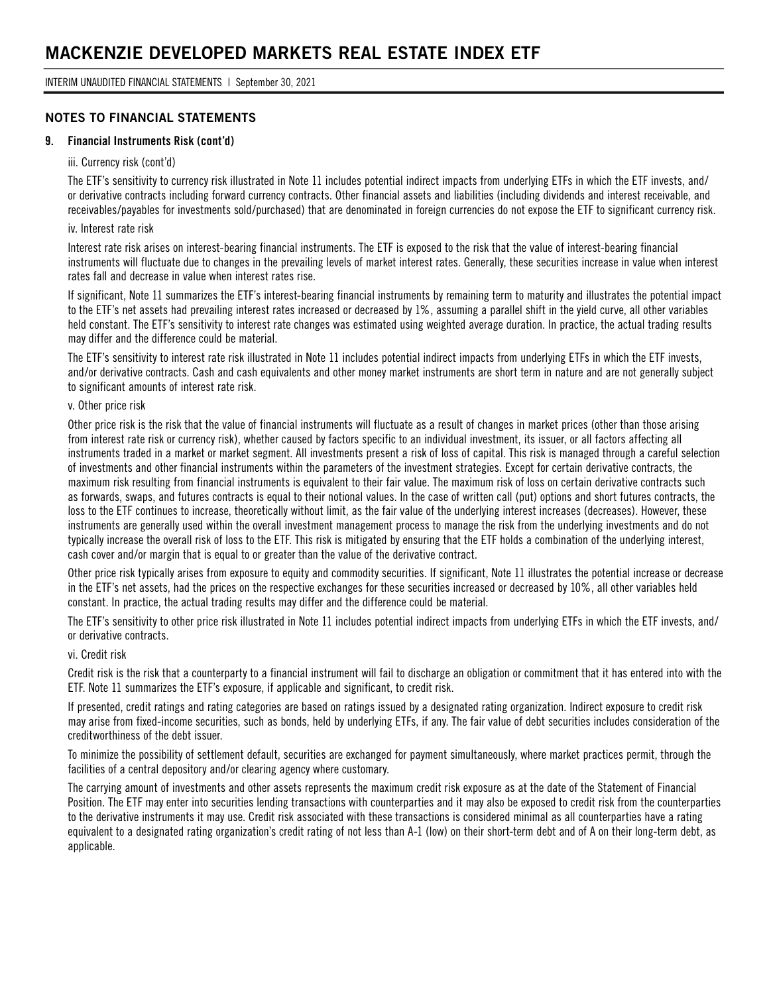### **NOTES TO FINANCIAL STATEMENTS**

#### **9. Financial Instruments Risk (cont'd)**

#### iii. Currency risk (cont'd)

The ETF's sensitivity to currency risk illustrated in Note 11 includes potential indirect impacts from underlying ETFs in which the ETF invests, and/ or derivative contracts including forward currency contracts. Other financial assets and liabilities (including dividends and interest receivable, and receivables/payables for investments sold/purchased) that are denominated in foreign currencies do not expose the ETF to significant currency risk.

#### iv. Interest rate risk

Interest rate risk arises on interest-bearing financial instruments. The ETF is exposed to the risk that the value of interest-bearing financial instruments will fluctuate due to changes in the prevailing levels of market interest rates. Generally, these securities increase in value when interest rates fall and decrease in value when interest rates rise.

If significant, Note 11 summarizes the ETF's interest-bearing financial instruments by remaining term to maturity and illustrates the potential impact to the ETF's net assets had prevailing interest rates increased or decreased by 1%, assuming a parallel shift in the yield curve, all other variables held constant. The ETF's sensitivity to interest rate changes was estimated using weighted average duration. In practice, the actual trading results may differ and the difference could be material.

The ETF's sensitivity to interest rate risk illustrated in Note 11 includes potential indirect impacts from underlying ETFs in which the ETF invests, and/or derivative contracts. Cash and cash equivalents and other money market instruments are short term in nature and are not generally subject to significant amounts of interest rate risk.

#### v. Other price risk

Other price risk is the risk that the value of financial instruments will fluctuate as a result of changes in market prices (other than those arising from interest rate risk or currency risk), whether caused by factors specific to an individual investment, its issuer, or all factors affecting all instruments traded in a market or market segment. All investments present a risk of loss of capital. This risk is managed through a careful selection of investments and other financial instruments within the parameters of the investment strategies. Except for certain derivative contracts, the maximum risk resulting from financial instruments is equivalent to their fair value. The maximum risk of loss on certain derivative contracts such as forwards, swaps, and futures contracts is equal to their notional values. In the case of written call (put) options and short futures contracts, the loss to the ETF continues to increase, theoretically without limit, as the fair value of the underlying interest increases (decreases). However, these instruments are generally used within the overall investment management process to manage the risk from the underlying investments and do not typically increase the overall risk of loss to the ETF. This risk is mitigated by ensuring that the ETF holds a combination of the underlying interest, cash cover and/or margin that is equal to or greater than the value of the derivative contract.

Other price risk typically arises from exposure to equity and commodity securities. If significant, Note 11 illustrates the potential increase or decrease in the ETF's net assets, had the prices on the respective exchanges for these securities increased or decreased by 10%, all other variables held constant. In practice, the actual trading results may differ and the difference could be material.

The ETF's sensitivity to other price risk illustrated in Note 11 includes potential indirect impacts from underlying ETFs in which the ETF invests, and/ or derivative contracts.

#### vi. Credit risk

Credit risk is the risk that a counterparty to a financial instrument will fail to discharge an obligation or commitment that it has entered into with the ETF. Note 11 summarizes the ETF's exposure, if applicable and significant, to credit risk.

If presented, credit ratings and rating categories are based on ratings issued by a designated rating organization. Indirect exposure to credit risk may arise from fixed-income securities, such as bonds, held by underlying ETFs, if any. The fair value of debt securities includes consideration of the creditworthiness of the debt issuer.

To minimize the possibility of settlement default, securities are exchanged for payment simultaneously, where market practices permit, through the facilities of a central depository and/or clearing agency where customary.

The carrying amount of investments and other assets represents the maximum credit risk exposure as at the date of the Statement of Financial Position. The ETF may enter into securities lending transactions with counterparties and it may also be exposed to credit risk from the counterparties to the derivative instruments it may use. Credit risk associated with these transactions is considered minimal as all counterparties have a rating equivalent to a designated rating organization's credit rating of not less than A-1 (low) on their short-term debt and of A on their long-term debt, as applicable.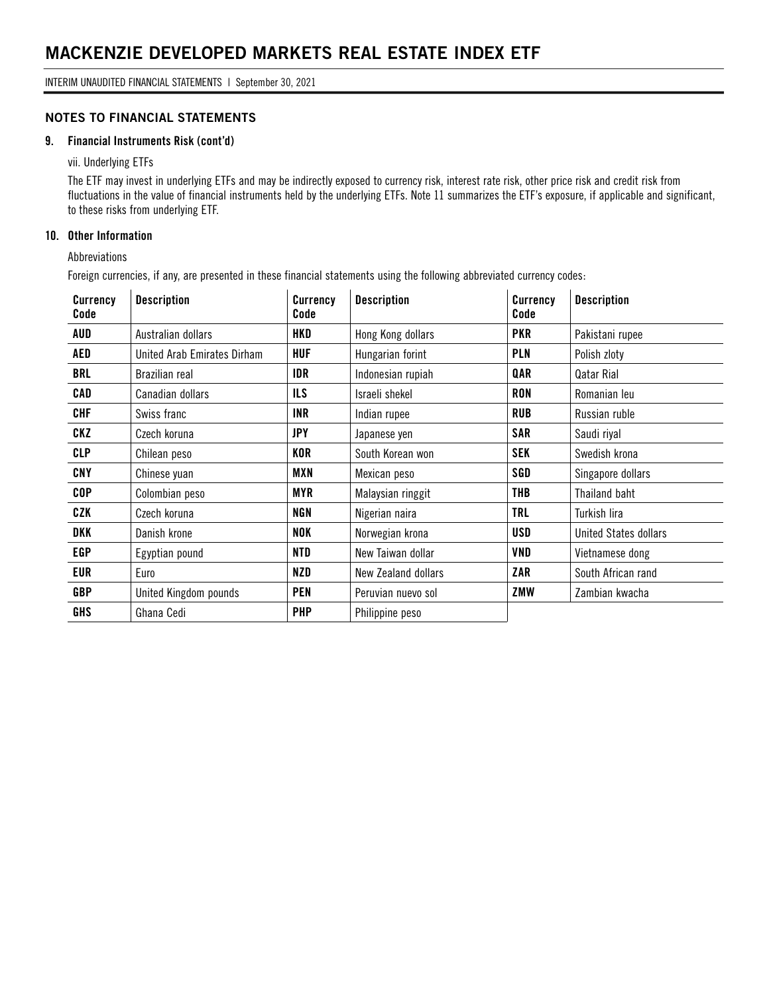### **NOTES TO FINANCIAL STATEMENTS**

#### **9. Financial Instruments Risk (cont'd)**

vii. Underlying ETFs

The ETF may invest in underlying ETFs and may be indirectly exposed to currency risk, interest rate risk, other price risk and credit risk from fluctuations in the value of financial instruments held by the underlying ETFs. Note 11 summarizes the ETF's exposure, if applicable and significant, to these risks from underlying ETF.

#### **10. Other Information**

Abbreviations

Foreign currencies, if any, are presented in these financial statements using the following abbreviated currency codes:

| <b>Currency</b><br>Code | <b>Description</b>          | <b>Currency</b><br>Code | <b>Description</b>  | Currency<br>Code | <b>Description</b>           |
|-------------------------|-----------------------------|-------------------------|---------------------|------------------|------------------------------|
| AUD                     | Australian dollars          | HKD                     | Hong Kong dollars   | <b>PKR</b>       | Pakistani rupee              |
| AED                     | United Arab Emirates Dirham | <b>HUF</b>              | Hungarian forint    | PLN              | Polish zloty                 |
| <b>BRL</b>              | Brazilian real              | IDR                     | Indonesian rupiah   | QAR              | Qatar Rial                   |
| CAD                     | Canadian dollars            | <b>ILS</b>              | Israeli shekel      | <b>RON</b>       | Romanian leu                 |
| <b>CHF</b>              | Swiss franc                 | <b>INR</b>              | Indian rupee        | <b>RUB</b>       | Russian ruble                |
| CKZ                     | Czech koruna                | <b>JPY</b>              | Japanese yen        | <b>SAR</b>       | Saudi riyal                  |
| <b>CLP</b>              | Chilean peso                | KOR                     | South Korean won    | <b>SEK</b>       | Swedish krona                |
| CNY                     | Chinese yuan                | MXN                     | Mexican peso        | SGD              | Singapore dollars            |
| <b>COP</b>              | Colombian peso              | MYR                     | Malaysian ringgit   | THB              | Thailand baht                |
| CZK                     | Czech koruna                | <b>NGN</b>              | Nigerian naira      | <b>TRL</b>       | Turkish lira                 |
| DKK                     | Danish krone                | NOK                     | Norwegian krona     | USD              | <b>United States dollars</b> |
| <b>EGP</b>              | Egyptian pound              | NTD                     | New Taiwan dollar   | VND              | Vietnamese dong              |
| EUR                     | Euro                        | NZD                     | New Zealand dollars | ZAR              | South African rand           |
| <b>GBP</b>              | United Kingdom pounds       | <b>PEN</b>              | Peruvian nuevo sol  | ZMW              | Zambian kwacha               |
| <b>GHS</b>              | Ghana Cedi                  | <b>PHP</b>              | Philippine peso     |                  |                              |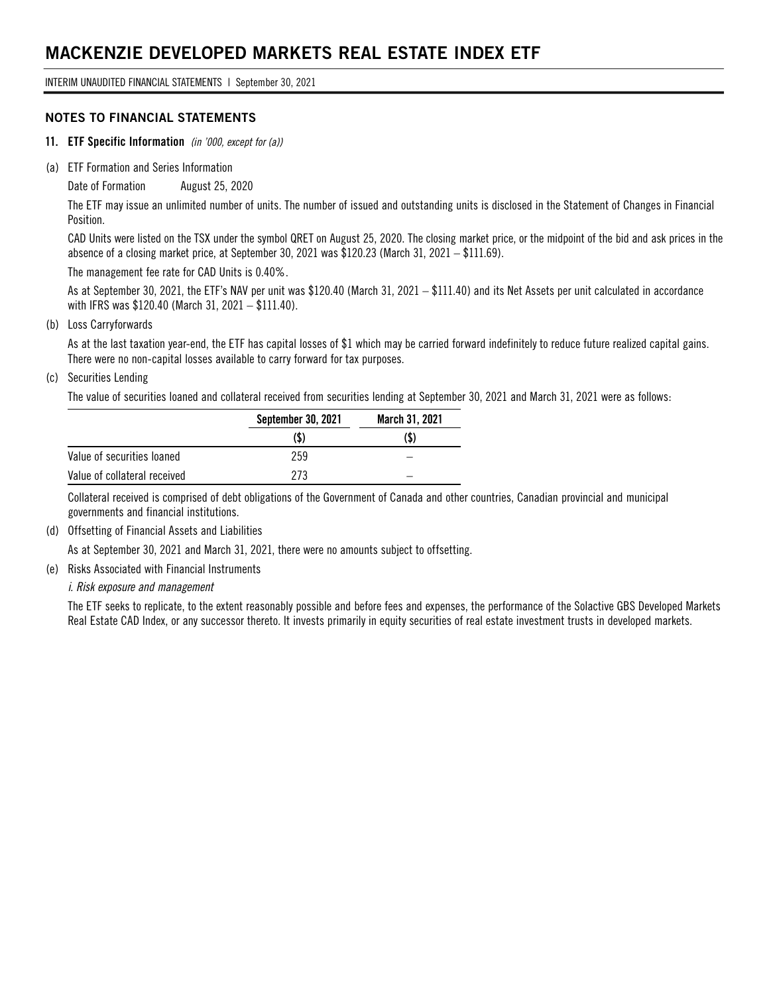INTERIM UNAUDITED FINANCIAL STATEMENTS | September 30, 2021

#### **NOTES TO FINANCIAL STATEMENTS**

- **11. ETF Specific Information** *(in '000, except for (a))*
- (a) ETF Formation and Series Information

Date of Formation August 25, 2020

The ETF may issue an unlimited number of units. The number of issued and outstanding units is disclosed in the Statement of Changes in Financial Position.

CAD Units were listed on the TSX under the symbol QRET on August 25, 2020. The closing market price, or the midpoint of the bid and ask prices in the absence of a closing market price, at September 30, 2021 was \$120.23 (March 31, 2021 – \$111.69).

The management fee rate for CAD Units is 0.40%.

As at September 30, 2021, the ETF's NAV per unit was \$120.40 (March 31, 2021 – \$111.40) and its Net Assets per unit calculated in accordance with IFRS was \$120.40 (March 31, 2021 – \$111.40).

#### (b) Loss Carryforwards

As at the last taxation year-end, the ETF has capital losses of \$1 which may be carried forward indefinitely to reduce future realized capital gains. There were no non-capital losses available to carry forward for tax purposes.

#### (c) Securities Lending

The value of securities loaned and collateral received from securities lending at September 30, 2021 and March 31, 2021 were as follows:

|                              | September 30, 2021 | March 31, 2021 |
|------------------------------|--------------------|----------------|
|                              | (\$)               | (\$)           |
| Value of securities loaned   | 259                |                |
| Value of collateral received | 273                |                |

Collateral received is comprised of debt obligations of the Government of Canada and other countries, Canadian provincial and municipal governments and financial institutions.

(d) Offsetting of Financial Assets and Liabilities

As at September 30, 2021 and March 31, 2021, there were no amounts subject to offsetting.

(e) Risks Associated with Financial Instruments

#### *i. Risk exposure and management*

The ETF seeks to replicate, to the extent reasonably possible and before fees and expenses, the performance of the Solactive GBS Developed Markets Real Estate CAD Index, or any successor thereto. It invests primarily in equity securities of real estate investment trusts in developed markets.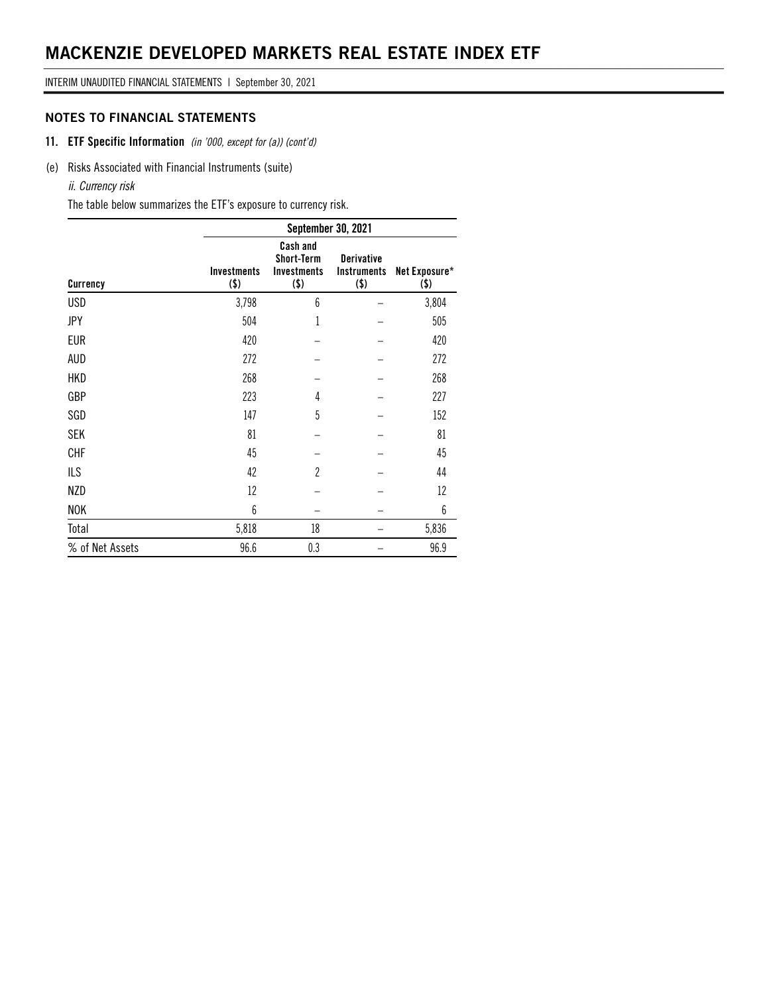INTERIM UNAUDITED FINANCIAL STATEMENTS | September 30, 2021

### **NOTES TO FINANCIAL STATEMENTS**

- **11. ETF Specific Information** *(in '000, except for (a)) (cont'd)*
- (e) Risks Associated with Financial Instruments (suite)

#### *ii. Currency risk*

The table below summarizes the ETF's exposure to currency risk.

|                 |                               | September 30, 2021                                             |                                                    |                          |  |  |  |
|-----------------|-------------------------------|----------------------------------------------------------------|----------------------------------------------------|--------------------------|--|--|--|
| Currency        | <b>Investments</b><br>$($ \$) | Cash and<br><b>Short-Term</b><br><b>Investments</b><br>$($ \$) | <b>Derivative</b><br><b>Instruments</b><br>$($ \$) | Net Exposure*<br>$($ \$) |  |  |  |
| <b>USD</b>      | 3,798                         | 6                                                              |                                                    | 3,804                    |  |  |  |
| <b>JPY</b>      | 504                           | 1                                                              |                                                    | 505                      |  |  |  |
| <b>EUR</b>      | 420                           |                                                                |                                                    | 420                      |  |  |  |
| AUD             | 272                           |                                                                |                                                    | 272                      |  |  |  |
| <b>HKD</b>      | 268                           |                                                                |                                                    | 268                      |  |  |  |
| GBP             | 223                           | 4                                                              |                                                    | 227                      |  |  |  |
| SGD             | 147                           | 5                                                              |                                                    | 152                      |  |  |  |
| <b>SEK</b>      | 81                            |                                                                |                                                    | 81                       |  |  |  |
| <b>CHF</b>      | 45                            |                                                                |                                                    | 45                       |  |  |  |
| <b>ILS</b>      | 42                            | $\overline{c}$                                                 |                                                    | 44                       |  |  |  |
| <b>NZD</b>      | 12                            |                                                                |                                                    | 12                       |  |  |  |
| <b>NOK</b>      | 6                             |                                                                |                                                    | 6                        |  |  |  |
| Total           | 5,818                         | 18                                                             |                                                    | 5,836                    |  |  |  |
| % of Net Assets | 96.6                          | 0.3                                                            |                                                    | 96.9                     |  |  |  |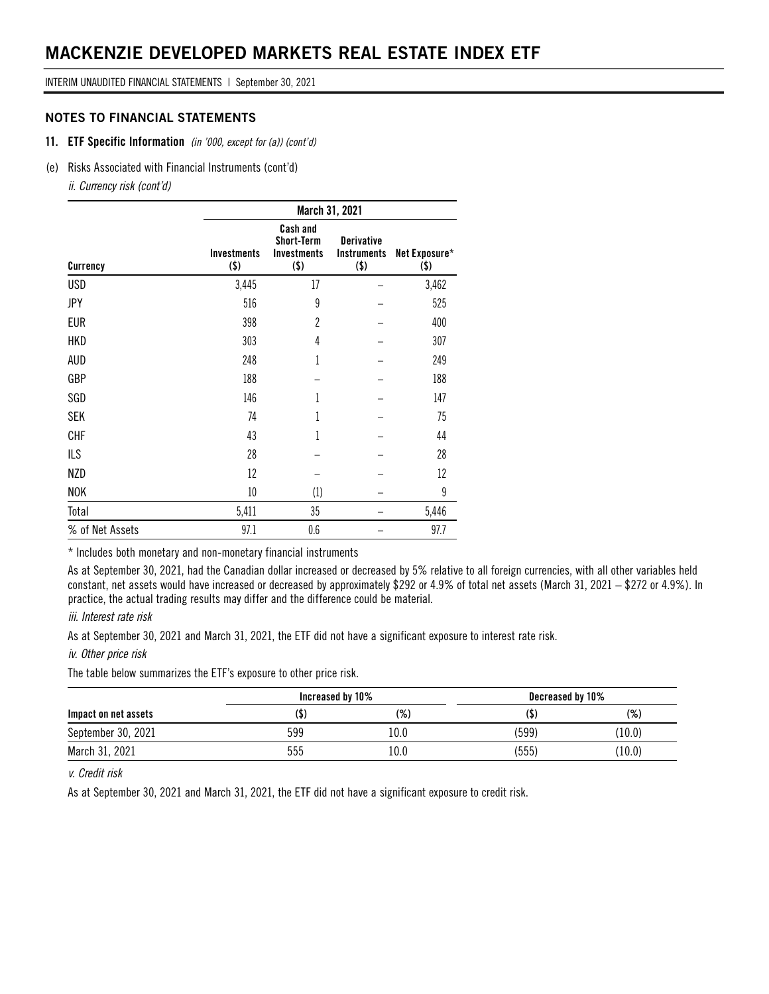INTERIM UNAUDITED FINANCIAL STATEMENTS | September 30, 2021

#### **NOTES TO FINANCIAL STATEMENTS**

#### **11. ETF Specific Information** *(in '000, except for (a)) (cont'd)*

(e) Risks Associated with Financial Instruments (cont'd)

*ii. Currency risk (cont'd)*

|                 | March 31, 2021                |                                                                       |                                                    |                       |  |  |
|-----------------|-------------------------------|-----------------------------------------------------------------------|----------------------------------------------------|-----------------------|--|--|
| Currency        | <b>Investments</b><br>$($ \$) | <b>Cash and</b><br><b>Short-Term</b><br><b>Investments</b><br>$($ \$) | <b>Derivative</b><br><b>Instruments</b><br>$($ \$) | Net Exposure*<br>(\$) |  |  |
| <b>USD</b>      | 3,445                         | 17                                                                    |                                                    | 3,462                 |  |  |
| <b>JPY</b>      | 516                           | 9                                                                     |                                                    | 525                   |  |  |
| <b>EUR</b>      | 398                           | $\overline{2}$                                                        |                                                    | 400                   |  |  |
| <b>HKD</b>      | 303                           | 4                                                                     |                                                    | 307                   |  |  |
| <b>AUD</b>      | 248                           | 1                                                                     |                                                    | 249                   |  |  |
| GBP             | 188                           |                                                                       |                                                    | 188                   |  |  |
| SGD             | 146                           |                                                                       |                                                    | 147                   |  |  |
| <b>SEK</b>      | 74                            | 1                                                                     |                                                    | 75                    |  |  |
| <b>CHF</b>      | 43                            | 1                                                                     |                                                    | 44                    |  |  |
| <b>ILS</b>      | 28                            |                                                                       |                                                    | 28                    |  |  |
| <b>NZD</b>      | 12                            |                                                                       |                                                    | 12                    |  |  |
| <b>NOK</b>      | $10\,$                        | (1)                                                                   |                                                    | 9                     |  |  |
| Total           | 5,411                         | 35                                                                    |                                                    | 5,446                 |  |  |
| % of Net Assets | 97.1                          | 0.6                                                                   |                                                    | 97.7                  |  |  |

\* Includes both monetary and non-monetary financial instruments

As at September 30, 2021, had the Canadian dollar increased or decreased by 5% relative to all foreign currencies, with all other variables held constant, net assets would have increased or decreased by approximately \$292 or 4.9% of total net assets (March 31, 2021 – \$272 or 4.9%). In practice, the actual trading results may differ and the difference could be material.

#### *iii. Interest rate risk*

As at September 30, 2021 and March 31, 2021, the ETF did not have a significant exposure to interest rate risk.

#### *iv. Other price risk*

The table below summarizes the ETF's exposure to other price risk.

|                      | Increased by 10% |      | Decreased by 10% |        |
|----------------------|------------------|------|------------------|--------|
| Impact on net assets | (\$              | (%)  |                  | $(\%)$ |
| September 30, 2021   | 599              | 10.0 | (599)            | (10.0) |
| March 31, 2021       | 555              | 10.0 | (555)            | (10.0) |

### *v. Credit risk*

As at September 30, 2021 and March 31, 2021, the ETF did not have a significant exposure to credit risk.